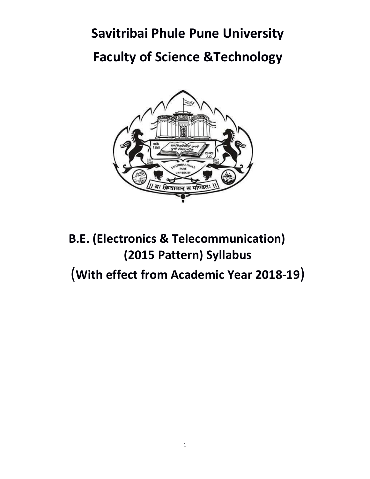# **Savitribai Phule Pune University Faculty of Science &Technology**



# **B.E. (Electronics & Telecommunication) (2015 Pattern) Syllabus**

(**With effect from Academic Year 2018-19**)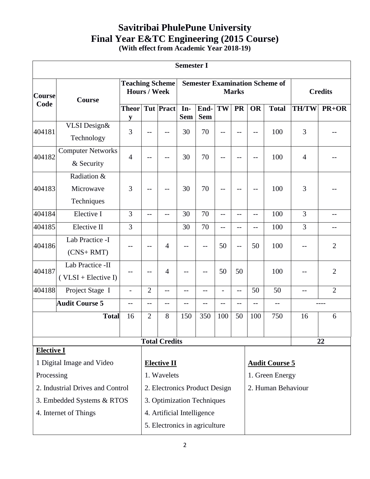# **Savitribai PhulePune University Final Year E&TC Engineering (2015 Course)**

**(With effect from Academic Year 2018-19)**

|                                  |                                           |                                               |                               |                  | <b>Semester I</b>                                     |                    |                          |           |                       |                   |                |                |
|----------------------------------|-------------------------------------------|-----------------------------------------------|-------------------------------|------------------|-------------------------------------------------------|--------------------|--------------------------|-----------|-----------------------|-------------------|----------------|----------------|
| Course                           | <b>Course</b>                             | <b>Teaching Scheme</b><br><b>Hours / Week</b> |                               |                  | <b>Semester Examination Scheme of</b><br><b>Marks</b> |                    |                          |           | <b>Credits</b>        |                   |                |                |
| Code                             |                                           | <b>Theor</b><br>y                             |                               | <b>Tut Pract</b> | In-<br><b>Sem</b>                                     | End-<br><b>Sem</b> | TW                       | <b>PR</b> | <b>OR</b>             | <b>Total</b>      | <b>TH/TW</b>   | $PR+OR$        |
| 404181                           | VLSI Design&<br>Technology                | 3                                             |                               |                  | 30                                                    | 70                 |                          |           | --                    | 100               | 3              |                |
| 404182                           | <b>Computer Networks</b><br>& Security    | $\overline{4}$                                | --                            | $-$              | 30                                                    | 70                 | $-1$                     | --        | --                    | 100               | $\overline{4}$ |                |
| 404183                           | Radiation &<br>Microwave<br>Techniques    | 3                                             | --                            | $-$              | 30                                                    | 70                 | $-$                      | --        | --                    | 100               | 3              |                |
| 404184                           | Elective I                                | $\overline{3}$                                | $-$                           | $-$              | 30                                                    | 70                 | $-$                      | --        | --                    | 100               | $\overline{3}$ | $-$            |
| 404185                           | Elective II                               | $\overline{3}$                                |                               |                  | 30                                                    | 70                 | $-$                      | $-$       | $-$                   | 100               | $\overline{3}$ | $-$            |
| 404186                           | Lab Practice -I<br>$(CNS+RMT)$            | $-1$                                          | $-$                           | $\overline{4}$   | $-$                                                   | $-$                | 50                       | $-$       | 50                    | 100               |                | $\overline{2}$ |
| 404187                           | Lab Practice -II<br>$(VLSI + Electric I)$ | $-$                                           | --                            | $\overline{4}$   | $- -$                                                 | $-$                | 50                       | 50        |                       | 100               |                | $\overline{2}$ |
| 404188                           | Project Stage I                           | $\overline{a}$                                | $\overline{2}$                | $-$              | $-$                                                   | $-$                | $\overline{\phantom{a}}$ | $-$       | 50                    | 50                | $-$            | $\overline{2}$ |
|                                  | <b>Audit Course 5</b>                     | $-$                                           | $-$                           | $-$              | $-$                                                   | $-$                | $-$                      | $-$       | $-$                   | $\qquad \qquad -$ |                |                |
|                                  | <b>Total</b>                              | 16                                            | $\overline{2}$                | 8                | 150                                                   | 350                | 100                      | 50        | 100                   | 750               | 16             | 6              |
| <b>Total Credits</b>             |                                           |                                               |                               |                  |                                                       |                    |                          |           |                       |                   | 22             |                |
| <b>Elective I</b>                |                                           |                                               |                               |                  |                                                       |                    |                          |           |                       |                   |                |                |
| 1 Digital Image and Video        |                                           |                                               | <b>Elective II</b>            |                  |                                                       |                    |                          |           | <b>Audit Course 5</b> |                   |                |                |
| Processing                       |                                           |                                               | 1. Wavelets                   |                  |                                                       |                    |                          |           | 1. Green Energy       |                   |                |                |
| 2. Industrial Drives and Control |                                           |                                               | 2. Electronics Product Design |                  |                                                       |                    |                          |           | 2. Human Behaviour    |                   |                |                |
|                                  | 3. Embedded Systems & RTOS                |                                               | 3. Optimization Techniques    |                  |                                                       |                    |                          |           |                       |                   |                |                |
|                                  | 4. Internet of Things                     |                                               | 4. Artificial Intelligence    |                  |                                                       |                    |                          |           |                       |                   |                |                |
|                                  |                                           |                                               | 5. Electronics in agriculture |                  |                                                       |                    |                          |           |                       |                   |                |                |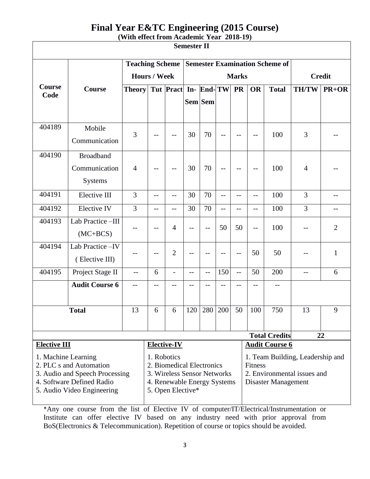### **Final Year E&TC Engineering (2015 Course) (With effect from Academic Year 2018-19)**

|                                                                                                                                                                    | <b>Semester II</b>                                  |                                            |                                                                                                                                                                                                                                                                                 |                                       |      |         |         |              |           |                      |                |                |
|--------------------------------------------------------------------------------------------------------------------------------------------------------------------|-----------------------------------------------------|--------------------------------------------|---------------------------------------------------------------------------------------------------------------------------------------------------------------------------------------------------------------------------------------------------------------------------------|---------------------------------------|------|---------|---------|--------------|-----------|----------------------|----------------|----------------|
|                                                                                                                                                                    | <b>Teaching Scheme</b>                              |                                            |                                                                                                                                                                                                                                                                                 | <b>Semester Examination Scheme of</b> |      |         |         |              |           |                      |                |                |
|                                                                                                                                                                    |                                                     |                                            | <b>Hours / Week</b>                                                                                                                                                                                                                                                             |                                       |      |         |         | <b>Marks</b> |           |                      |                | <b>Credit</b>  |
| Course<br>Code                                                                                                                                                     | Course                                              | Theory   Tut   Pract   In-   End-  TW   PR |                                                                                                                                                                                                                                                                                 |                                       |      | Sem Sem |         |              | <b>OR</b> | <b>Total</b>         | <b>TH/TW</b>   | $PR+OR$        |
| 404189                                                                                                                                                             | Mobile<br>Communication                             | 3                                          |                                                                                                                                                                                                                                                                                 |                                       | 30   | 70      | $-$     |              | $-$       | 100                  | 3              |                |
| 404190                                                                                                                                                             | <b>Broadband</b><br>Communication<br><b>Systems</b> | $\overline{4}$                             |                                                                                                                                                                                                                                                                                 |                                       | 30   | 70      | $-$     | $-$          | $-$       | 100                  | $\overline{4}$ |                |
| 404191                                                                                                                                                             | Elective III                                        | 3                                          | $-$                                                                                                                                                                                                                                                                             | $-$                                   | 30   | 70      | $-$     | $-$          | $-$       | 100                  | 3              |                |
| 404192                                                                                                                                                             | <b>Elective IV</b>                                  | 3                                          | $-$                                                                                                                                                                                                                                                                             | $- -$                                 | 30   | 70      | $-$     | $-$          | $-$       | 100                  | 3              | $-$            |
| 404193                                                                                                                                                             | Lab Practice -III<br>$(MC+BCS)$                     |                                            |                                                                                                                                                                                                                                                                                 | $\overline{4}$                        | $-1$ |         | 50      | 50           | $-$       | 100                  |                | $\overline{2}$ |
| 404194                                                                                                                                                             | Lab Practice - IV<br>(Elective III)                 |                                            | $-$                                                                                                                                                                                                                                                                             | $\overline{2}$                        |      |         | $-$     | $-$          | 50        | 50                   |                | $\mathbf{1}$   |
| 404195                                                                                                                                                             | Project Stage II                                    | $-$                                        | 6                                                                                                                                                                                                                                                                               |                                       | $-$  | $-$     | 150     | $-$          | 50        | 200                  | $-$            | 6              |
|                                                                                                                                                                    | <b>Audit Course 6</b>                               | $-$                                        |                                                                                                                                                                                                                                                                                 |                                       |      |         | $-$     | $-$          | --        | --                   |                |                |
|                                                                                                                                                                    | <b>Total</b>                                        | 13                                         | 6                                                                                                                                                                                                                                                                               | 6                                     | 120  |         | 280 200 | 50           | 100       | 750                  | 13             | 9              |
|                                                                                                                                                                    |                                                     |                                            |                                                                                                                                                                                                                                                                                 |                                       |      |         |         |              |           | <b>Total Credits</b> |                | 22             |
| <b>Elective III</b><br>1. Machine Learning<br>2. PLC s and Automation<br>3. Audio and Speech Processing<br>4. Software Defined Radio<br>5. Audio Video Engineering |                                                     |                                            | Elective-IV<br><b>Audit Course 6</b><br>1. Robotics<br>1. Team Building, Leadership and<br>2. Biomedical Electronics<br>Fitness<br>3. Wireless Sensor Networks<br>2. Environmental issues and<br><b>Disaster Management</b><br>4. Renewable Energy Systems<br>5. Open Elective* |                                       |      |         |         |              |           |                      |                |                |

\*Any one course from the list of Elective IV of computer/IT/Electrical/Instrumentation or Institute can offer elective IV based on any industry need with prior approval from BoS(Electronics & Telecommunication). Repetition of course or topics should be avoided.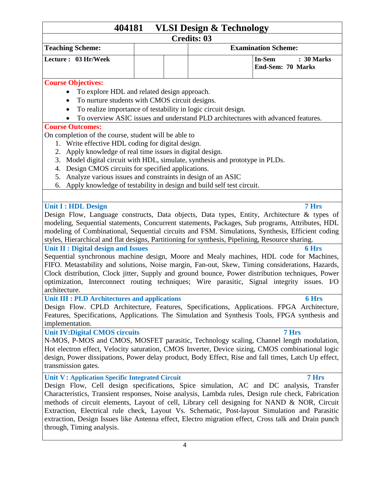| 404181                                                            |   | <b>VLSI Design &amp; Technology</b>                                                                 |                                 |
|-------------------------------------------------------------------|---|-----------------------------------------------------------------------------------------------------|---------------------------------|
|                                                                   |   | <b>Credits: 03</b>                                                                                  |                                 |
| <b>Teaching Scheme:</b>                                           |   | <b>Examination Scheme:</b>                                                                          |                                 |
| Lecture: 03 Hr/Week                                               |   | In-Sem                                                                                              | : 30 Marks<br>End-Sem: 70 Marks |
| <b>Course Objectives:</b>                                         |   |                                                                                                     |                                 |
| To explore HDL and related design approach.                       |   |                                                                                                     |                                 |
| To nurture students with CMOS circuit designs.                    |   |                                                                                                     |                                 |
|                                                                   |   | To realize importance of testability in logic circuit design.                                       |                                 |
|                                                                   |   | To overview ASIC issues and understand PLD architectures with advanced features.                    |                                 |
| <b>Course Outcomes:</b>                                           |   |                                                                                                     |                                 |
| On completion of the course, student will be able to              |   |                                                                                                     |                                 |
| 1. Write effective HDL coding for digital design.                 |   |                                                                                                     |                                 |
| Apply knowledge of real time issues in digital design.<br>2.      |   |                                                                                                     |                                 |
| 3.                                                                |   | Model digital circuit with HDL, simulate, synthesis and prototype in PLDs.                          |                                 |
| Design CMOS circuits for specified applications.<br>4.            |   |                                                                                                     |                                 |
| Analyze various issues and constraints in design of an ASIC<br>5. |   |                                                                                                     |                                 |
| 6.                                                                |   | Apply knowledge of testability in design and build self test circuit.                               |                                 |
|                                                                   |   |                                                                                                     |                                 |
| <b>Unit I: HDL Design</b>                                         |   |                                                                                                     | 7 Hrs                           |
|                                                                   |   | Design Flow, Language constructs, Data objects, Data types, Entity, Architecture & types of         |                                 |
|                                                                   |   | modeling, Sequential statements, Concurrent statements, Packages, Sub programs, Attributes, HDL     |                                 |
|                                                                   |   | modeling of Combinational, Sequential circuits and FSM. Simulations, Synthesis, Efficient coding    |                                 |
|                                                                   |   | styles, Hierarchical and flat designs, Partitioning for synthesis, Pipelining, Resource sharing.    |                                 |
| <b>Unit II: Digital design and Issues</b>                         |   |                                                                                                     | <b>6 Hrs</b>                    |
|                                                                   |   | Sequential synchronous machine design, Moore and Mealy machines, HDL code for Machines,             |                                 |
|                                                                   |   | FIFO. Metastability and solutions, Noise margin, Fan-out, Skew, Timing considerations, Hazards,     |                                 |
|                                                                   |   | Clock distribution, Clock jitter, Supply and ground bounce, Power distribution techniques, Power    |                                 |
|                                                                   |   | optimization, Interconnect routing techniques; Wire parasitic, Signal integrity issues. I/O         |                                 |
| architecture.                                                     |   |                                                                                                     |                                 |
| Unit III : PLD Architectures and applications                     |   |                                                                                                     | <b>6 Hrs</b>                    |
|                                                                   |   | Design Flow. CPLD Architecture, Features, Specifications, Applications. FPGA Architecture,          |                                 |
|                                                                   |   | Features, Specifications, Applications. The Simulation and Synthesis Tools, FPGA synthesis and      |                                 |
| implementation.                                                   |   |                                                                                                     |                                 |
| <b>Unit IV: Digital CMOS circuits</b>                             |   |                                                                                                     | 7 Hrs                           |
|                                                                   |   | N-MOS, P-MOS and CMOS, MOSFET parasitic, Technology scaling, Channel length modulation,             |                                 |
|                                                                   |   | Hot electron effect, Velocity saturation, CMOS Inverter, Device sizing, CMOS combinational logic    |                                 |
|                                                                   |   | design, Power dissipations, Power delay product, Body Effect, Rise and fall times, Latch Up effect, |                                 |
| transmission gates.                                               |   |                                                                                                     |                                 |
| <b>Unit V: Application Specific Integrated Circuit</b>            |   |                                                                                                     | 7 Hrs                           |
|                                                                   |   | Design Flow, Cell design specifications, Spice simulation, AC and DC analysis, Transfer             |                                 |
|                                                                   |   | Characteristics, Transient responses, Noise analysis, Lambda rules, Design rule check, Fabrication  |                                 |
|                                                                   |   | methods of circuit elements, Layout of cell, Library cell designing for NAND & NOR, Circuit         |                                 |
|                                                                   |   | Extraction, Electrical rule check, Layout Vs. Schematic, Post-layout Simulation and Parasitic       |                                 |
|                                                                   |   | extraction, Design Issues like Antenna effect, Electro migration effect, Cross talk and Drain punch |                                 |
| through, Timing analysis.                                         |   |                                                                                                     |                                 |
|                                                                   | Λ |                                                                                                     |                                 |

 $\mathbf{r}$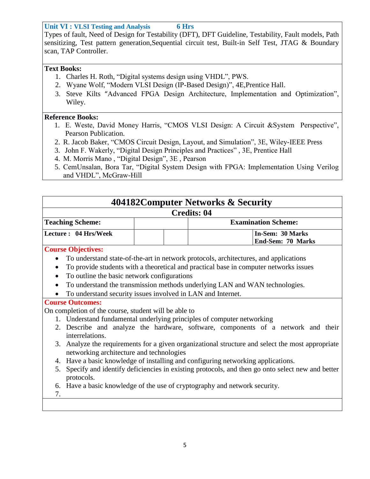**Unit VI : VLSI Testing and Analysis 6 Hrs**

Types of fault, Need of Design for Testability (DFT), DFT Guideline, Testability, Fault models, Path sensitizing, Test pattern generation,Sequential circuit test, Built-in Self Test, JTAG & Boundary scan, TAP Controller.

### **Text Books:**

- 1. Charles H. Roth, "Digital systems design using VHDL", PWS.
- 2. Wyane Wolf, "Modern VLSI Design (IP-Based Design)", 4E, Prentice Hall.
- 3. Steve Kilts "Advanced FPGA Design Architecture, Implementation and Optimization", Wiley.

#### **Reference Books:**

- 1. E. Weste, David Money Harris, "CMOS VLSI Design: A Circuit & System Perspective", Pearson Publication.
- 2. [R. Jacob Baker,](http://cmosedu.com/jbaker/jbaker.htm) "CMOS Circuit Design, Layout, and Simulation", 3E, Wiley-IEEE Press
- 3. John F. Wakerly, "Digital Design Principles and Practices", 3E, Prentice Hall
- 4. M. Morris Mano, "Digital Design", 3E, Pearson
- 5. CemUnsalan, Bora Tar, "Digital System Design with FPGA: Implementation Using Verilog and VHDL", McGraw-Hill

|           | 404182Computer Networks & Security                                                                                                           |  |                    |                                                                                   |  |  |  |  |
|-----------|----------------------------------------------------------------------------------------------------------------------------------------------|--|--------------------|-----------------------------------------------------------------------------------|--|--|--|--|
|           |                                                                                                                                              |  | <b>Credits: 04</b> |                                                                                   |  |  |  |  |
|           | <b>Teaching Scheme:</b>                                                                                                                      |  |                    | <b>Examination Scheme:</b>                                                        |  |  |  |  |
|           | Lecture: 04 Hrs/Week                                                                                                                         |  |                    | In-Sem: 30 Marks<br><b>End-Sem: 70 Marks</b>                                      |  |  |  |  |
|           | <b>Course Objectives:</b>                                                                                                                    |  |                    |                                                                                   |  |  |  |  |
|           | To understand state-of-the-art in network protocols, architectures, and applications                                                         |  |                    |                                                                                   |  |  |  |  |
| $\bullet$ | To provide students with a theoretical and practical base in computer networks issues                                                        |  |                    |                                                                                   |  |  |  |  |
| ٠         | To outline the basic network configurations                                                                                                  |  |                    |                                                                                   |  |  |  |  |
| $\bullet$ | To understand the transmission methods underlying LAN and WAN technologies.                                                                  |  |                    |                                                                                   |  |  |  |  |
|           | To understand security issues involved in LAN and Internet.                                                                                  |  |                    |                                                                                   |  |  |  |  |
|           | <b>Course Outcomes:</b>                                                                                                                      |  |                    |                                                                                   |  |  |  |  |
|           | On completion of the course, student will be able to                                                                                         |  |                    |                                                                                   |  |  |  |  |
|           | 1. Understand fundamental underlying principles of computer networking                                                                       |  |                    |                                                                                   |  |  |  |  |
|           | interrelations.                                                                                                                              |  |                    | 2. Describe and analyze the hardware, software, components of a network and their |  |  |  |  |
|           | 3. Analyze the requirements for a given organizational structure and select the most appropriate<br>networking architecture and technologies |  |                    |                                                                                   |  |  |  |  |
| 4.        | Have a basic knowledge of installing and configuring networking applications.                                                                |  |                    |                                                                                   |  |  |  |  |
| 5.        | Specify and identify deficiencies in existing protocols, and then go onto select new and better<br>protocols.                                |  |                    |                                                                                   |  |  |  |  |
|           | 6. Have a basic knowledge of the use of cryptography and network security.                                                                   |  |                    |                                                                                   |  |  |  |  |
| 7.        |                                                                                                                                              |  |                    |                                                                                   |  |  |  |  |
|           |                                                                                                                                              |  |                    |                                                                                   |  |  |  |  |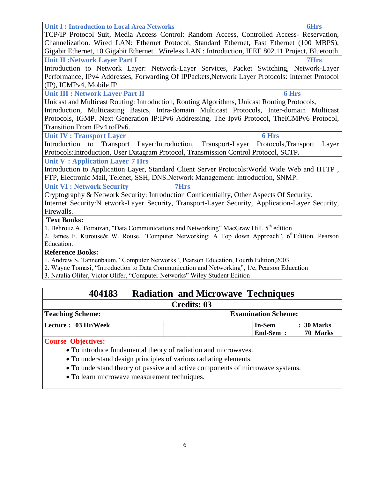| <b>6Hrs</b><br><b>Unit I: Introduction to Local Area Networks</b>                                  |       |
|----------------------------------------------------------------------------------------------------|-------|
| TCP/IP Protocol Suit, Media Access Control: Random Access, Controlled Access- Reservation,         |       |
| Channelization. Wired LAN: Ethernet Protocol, Standard Ethernet, Fast Ethernet (100 MBPS),         |       |
| Gigabit Ethernet, 10 Gigabit Ethernet. Wireless LAN : Introduction, IEEE 802.11 Project, Bluetooth |       |
| <b>Unit II: Network Layer Part I</b><br><b>7Hrs</b>                                                |       |
| Introduction to Network Layer: Network-Layer Services, Packet Switching, Network-Layer             |       |
| Performance, IPv4 Addresses, Forwarding Of IPPackets, Network Layer Protocols: Internet Protocol   |       |
| (IP), ICMPv4, Mobile IP                                                                            |       |
| <b>Unit III : Network Layer Part II</b><br><b>6 Hrs</b>                                            |       |
| Unicast and Multicast Routing: Introduction, Routing Algorithms, Unicast Routing Protocols,        |       |
| Introduction, Multicasting Basics, Intra-domain Multicast Protocols, Inter-domain Multicast        |       |
| Protocols, IGMP. Next Generation IP:IPv6 Addressing, The Ipv6 Protocol, TheICMPv6 Protocol,        |       |
| Transition From IPv4 toIPv6.                                                                       |       |
| 6 Hrs<br><b>Unit IV: Transport Layer</b>                                                           |       |
| Layer:Introduction, Transport-Layer Protocols,Transport<br>Introduction<br>Transport<br>to         | Layer |
| Protocols: Introduction, User Datagram Protocol, Transmission Control Protocol, SCTP.              |       |
| <b>Unit V: Application Layer 7 Hrs</b>                                                             |       |
| Introduction to Application Layer, Standard Client Server Protocols: World Wide Web and HTTP,      |       |
| FTP, Electronic Mail, Telenet, SSH, DNS.Network Management: Introduction, SNMP.                    |       |
| <b>Unit VI : Network Security</b><br>7Hrs                                                          |       |
| Cryptography & Network Security: Introduction Confidentiality, Other Aspects Of Security.          |       |
| Internet Security:N etwork-Layer Security, Transport-Layer Security, Application-Layer Security,   |       |
| Firewalls.                                                                                         |       |
| <b>Text Books:</b>                                                                                 |       |
| 1. Behrouz A. Forouzan, "Data Communications and Networking" MacGraw Hill, 5 <sup>th</sup> edition |       |
| 2. James F. Kurouse& W. Rouse, "Computer Networking: A Top down Approach", 6th Edition, Pearson    |       |
| Education.                                                                                         |       |
| <b>Reference Books:</b>                                                                            |       |
| 1. Andrew S. Tannenbaum, "Computer Networks", Pearson Education, Fourth Edition, 2003              |       |
| 2. Wayne Tomasi, "Introduction to Data Communication and Networking", 1/e, Pearson Education       |       |
| 3. Natalia Olifer, Victor Olifer, "Computer Networks" Wiley Student Edition                        |       |
|                                                                                                    |       |

| 404183                  | <b>Radiation and Microwave Techniques</b> |                                                     |  |  |  |
|-------------------------|-------------------------------------------|-----------------------------------------------------|--|--|--|
|                         |                                           | <b>Credits: 03</b>                                  |  |  |  |
| <b>Teaching Scheme:</b> |                                           | <b>Examination Scheme:</b>                          |  |  |  |
| Lecture : 03 Hr/Week    |                                           | In-Sem<br>: 30 Marks<br><b>End-Sem:</b><br>70 Marks |  |  |  |
| Course Objectives:      |                                           |                                                     |  |  |  |

#### **Course Objectives:**

- To introduce fundamental theory of radiation and microwaves.
- To understand design principles of various radiating elements.
- To understand theory of passive and active components of microwave systems.
- To learn microwave measurement techniques.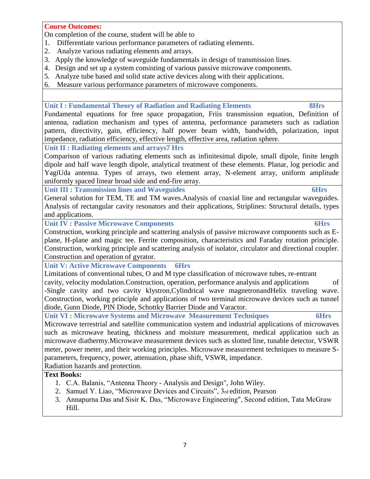#### **Course Outcomes:**

On completion of the course, student will be able to

- 1. Differentiate various performance parameters of radiating elements.
- 2. Analyze various radiating elements and arrays.
- 3. Apply the knowledge of waveguide fundamentals in design of transmission lines.
- 4. Design and set up a system consisting of various passive microwave components.
- 5. Analyze tube based and solid state active devices along with their applications.
- 6. Measure various performance parameters of microwave components.

**Unit I : Fundamental Theory of Radiation and Radiating Elements 8Hrs**

Fundamental equations for free space propagation, Friis transmission equation, Definition of antenna, radiation mechanism and types of antenna, performance parameters such as radiation pattern, directivity, gain, efficiency, half power beam width, bandwidth, polarization, input impedance, radiation efficiency, effective length, effective area, radiation sphere.

**Unit II : Radiating elements and arrays7 Hrs**

Comparison of various radiating elements such as infinitesimal dipole, small dipole, finite length dipole and half wave length dipole, analytical treatment of these elements. Planar, log periodic and YagiUda antenna. Types of arrays, two element array, N-element array, uniform amplitude uniformly spaced linear broad side and end-fire array.

Unit III : Transmission lines and Waveguides 6Hrs

General solution for TEM, TE and TM waves.Analysis of coaxial line and rectangular waveguides. Analysis of rectangular cavity resonators and their applications, Striplines: Structural details, types and applications.

**Unit IV : Passive Microwave Components** 6Hrs

Construction, working principle and scattering analysis of passive microwave components such as Eplane, H-plane and magic tee. Ferrite composition, characteristics and Faraday rotation principle. Construction, working principle and scattering analysis of isolator, circulator and directional coupler. Construction and operation of gyrator.

**Unit V: Active Microwave Components 6Hrs**

Limitations of conventional tubes, O and M type classification of microwave tubes, re-entrant cavity, velocity modulation.Construction, operation, performance analysis and applications of -Single cavity and two cavity klystron,Cylindrical wave magnetronandHelix traveling wave. Construction, working principle and applications of two terminal microwave devices such as tunnel diode, Gunn Diode, PIN Diode, Schottky Barrier Diode and Varactor.

**Unit VI : Microwave Systems and Microwave Measurement Techniques 6Hrs**

Microwave terrestrial and satellite communication system and industrial applications of microwaves such as microwave heating, thickness and moisture measurement, medical application such as microwave diathermy.Microwave measurement devices such as slotted line, tunable detector, VSWR meter, power meter, and their working principles. Microwave measurement techniques to measure Sparameters, frequency, power, attenuation, phase shift, VSWR, impedance.

Radiation hazards and protection.

#### **Text Books:**

- 1. C.A. Balanis, "Antenna Theory Analysis and Design", John Wiley.
- 2. Samuel Y. Liao, "Microwave Devices and Circuits", 3rd edition, Pearson
- 3. Annapurna Das and Sisir K. Das, "Microwave Engineering", Second edition, Tata McGraw Hill.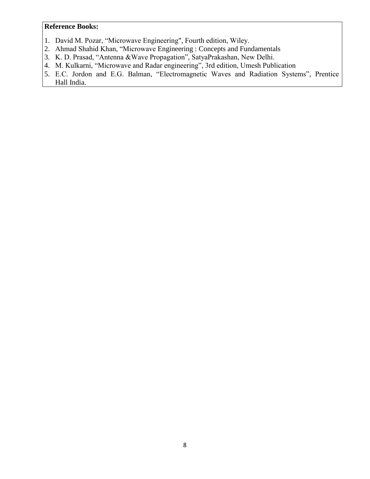#### **Reference Books:**

- 1. David M. Pozar, "Microwave Engineering", Fourth edition, Wiley.
- 2. Ahmad Shahid Khan, "Microwave Engineering : Concepts and Fundamentals
- 3. K. D. Prasad, "Antenna &Wave Propagation", SatyaPrakashan, New Delhi.
- 4. M. Kulkarni, "Microwave and Radar engineering", 3rd edition, Umesh Publication
- 5. E.C. Jordon and E.G. Balman, "Electromagnetic Waves and Radiation Systems", Prentice Hall India.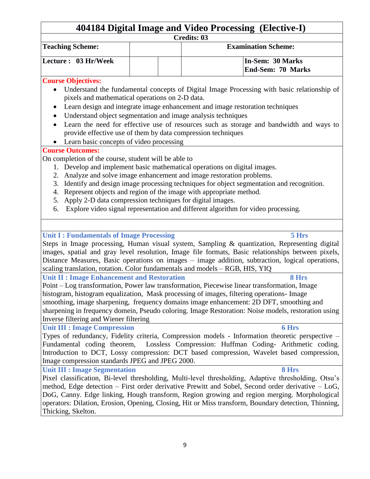### **404184 Digital Image and Video Processing (Elective-I) Credits: 03 Teaching Scheme: Examination Scheme: Lecture : 03 Hr/Week In-Sem: 30 Marks End-Sem: 70 Marks Course Objectives:** Understand the fundamental concepts of Digital Image Processing with basic relationship of pixels and mathematical operations on 2-D data. Learn design and integrate image enhancement and image restoration techniques Understand object segmentation and image analysis techniques Learn the need for effective use of resources such as storage and bandwidth and ways to provide effective use of them by data compression techniques • Learn basic concepts of video processing **Course Outcomes:** On completion of the course, student will be able to 1. Develop and implement basic mathematical operations on digital images. 2. Analyze and solve image enhancement and image restoration problems. 3. Identify and design image processing techniques for object segmentation and recognition. 4. Represent objects and region of the image with appropriate method. 5. Apply 2-D data compression techniques for digital images. 6. Explore video signal representation and different algorithm for video processing. Unit I : Fundamentals of Image Processing 5 Hrs Steps in Image processing, Human visual system, Sampling & quantization, Representing digital images, spatial and gray level resolution, Image file formats, Basic relationships between pixels, Distance Measures, Basic operations on images – image addition, subtraction, logical operations, scaling translation, rotation. Color fundamentals and models – RGB, HIS, YIQ **Unit II : Image Enhancement and Restoration 8 Hrs** Point – Log transformation, Power law transformation, Piecewise linear transformation, Image histogram, histogram equalization, Mask processing of images, filtering operations- Image smoothing, image sharpening, frequency domains image enhancement: 2D DFT, smoothing and sharpening in frequency domein, Pseudo coloring. Image Restoration: Noise models, restoration using Inverse filtering and Wiener filtering **Unit III : Image Compression 6 Hrs** Types of redundancy, Fidelity criteria, Compression models - Information theoretic perspective – Fundamental coding theorem, Lossless Compression: Huffman Coding- Arithmetic coding. Introduction to DCT, Lossy compression: DCT based compression, Wavelet based compression, Image compression standards JPEG and JPEG 2000. **Unit III : Image Segmentation 8 Hrs** Pixel classification, Bi-level thresholding, Multi-level thresholding, Adaptive thresholding, Otsu's method, Edge detection – First order derivative Prewitt and Sobel, Second order derivative – LoG, DoG, Canny. Edge linking, Hough transform, Region growing and region merging. Morphological operators: Dilation, Erosion, Opening, Closing, Hit or Miss transform, Boundary detection, Thinning, Thicking, Skelton.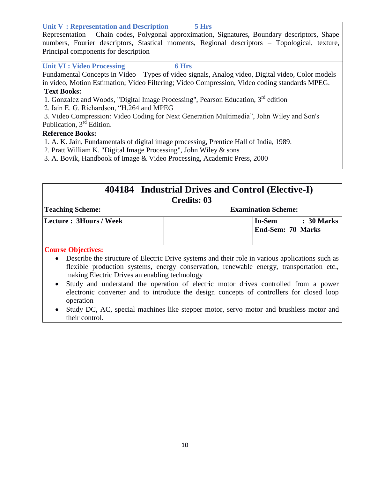**Unit V : Representation and Description 5 Hrs**

Representation – Chain codes, Polygonal approximation, Signatures, Boundary descriptors, Shape numbers, Fourier descriptors, Stastical moments, Regional descriptors – Topological, texture, Principal components for description

**Unit VI : Video Processing 6 Hrs**

Fundamental Concepts in Video – Types of video signals, Analog video, Digital video, Color models in video, Motion Estimation; Video Filtering; Video Compression, Video coding standards MPEG.

#### **Text Books:**

1. Gonzalez and Woods, "Digital Image Processing", Pearson Education,  $3<sup>rd</sup>$  edition

2. Iain E. G. Richardson, "H.264 and MPEG

3. Video Compression: Video Coding for Next Generation Multimedia", John Wiley and Son's Publication, 3<sup>rd</sup> Edition.

#### **Reference Books:**

1. A. K. Jain, Fundamentals of digital image processing, Prentice Hall of India, 1989.

2. Pratt William K. "Digital Image Processing", John Wiley & sons

3. A. Bovik, Handbook of Image & Video Processing, Academic Press, 2000

|                                                       | 404184 Industrial Drives and Control (Elective-I)                                               |  |  |  |  |  |
|-------------------------------------------------------|-------------------------------------------------------------------------------------------------|--|--|--|--|--|
|                                                       | <b>Credits: 03</b>                                                                              |  |  |  |  |  |
| <b>Teaching Scheme:</b><br><b>Examination Scheme:</b> |                                                                                                 |  |  |  |  |  |
| Lecture: 3Hours / Week                                | $: 30$ Marks<br><b>In-Sem</b><br>End-Sem: 70 Marks                                              |  |  |  |  |  |
| <b>Course Objectives:</b><br>$\bullet$                | Describe the structure of Electric Drive systems and their role in various applications such as |  |  |  |  |  |

flexible production systems, energy conservation, renewable energy, transportation etc., making Electric Drives an enabling technology

 Study and understand the operation of electric motor drives controlled from a power electronic converter and to introduce the design concepts of controllers for closed loop operation

• Study DC, AC, special machines like stepper motor, servo motor and brushless motor and their control.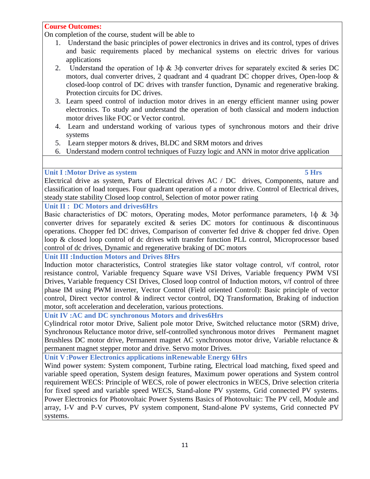#### **Course Outcomes:**

On completion of the course, student will be able to

- 1. Understand the basic principles of power electronics in drives and its control, types of drives and basic requirements placed by mechanical systems on electric drives for various applications
- 2. Understand the operation of  $1\phi \& 3\phi$  converter drives for separately excited & series DC motors, dual converter drives, 2 quadrant and 4 quadrant DC chopper drives, Open-loop  $\&$ closed-loop control of DC drives with transfer function, Dynamic and regenerative braking. Protection circuits for DC drives.
- 3. Learn speed control of induction motor drives in an energy efficient manner using power electronics. To study and understand the operation of both classical and modern induction motor drives like FOC or Vector control.
- 4. Learn and understand working of various types of synchronous motors and their drive systems
- 5. Learn stepper motors & drives, BLDC and SRM motors and drives
- 6. Understand modern control techniques of Fuzzy logic and ANN in motor drive application

#### **Unit I :Motor Drive as system 5 Hrs**

Electrical drive as system, Parts of Electrical drives AC / DC drives, Components, nature and classification of load torques. Four quadrant operation of a motor drive. Control of Electrical drives, steady state stability Closed loop control, Selection of motor power rating

**Unit II : DC Motors and drives6Hrs**

Basic characteristics of DC motors, Operating modes, Motor performance parameters, 1ф & 3ф converter drives for separately excited  $\&$  series DC motors for continuous  $\&$  discontinuous operations. Chopper fed DC drives, Comparison of converter fed drive & chopper fed drive. Open loop & closed loop control of dc drives with transfer function PLL control, Microprocessor based control of dc drives, Dynamic and regenerative braking of DC motors

**Unit III :Induction Motors and Drives 8Hrs**

Induction motor characteristics, Control strategies like stator voltage control, v/f control, rotor resistance control, Variable frequency Square wave VSI Drives, Variable frequency PWM VSI Drives, Variable frequency CSI Drives, Closed loop control of Induction motors, v/f control of three phase IM using PWM inverter, Vector Control (Field oriented Control): Basic principle of vector control, Direct vector control & indirect vector control, DQ Transformation, Braking of induction motor, soft acceleration and deceleration, various protections.

**Unit IV :AC and DC synchronous Motors and drives6Hrs**

Cylindrical rotor motor Drive, Salient pole motor Drive, Switched reluctance motor (SRM) drive, Synchronous Reluctance motor drive, self-controlled synchronous motor drives Permanent magnet Brushless DC motor drive, Permanent magnet AC synchronous motor drive, Variable reluctance & permanent magnet stepper motor and drive. Servo motor Drives.

**Unit V:Power Electronics applications inRenewable Energy 6Hrs**

Wind power system: System component, Turbine rating, Electrical load matching, fixed speed and variable speed operation, System design features, Maximum power operations and System control requirement WECS: Principle of WECS, role of power electronics in WECS, Drive selection criteria for fixed speed and variable speed WECS, Stand-alone PV systems, Grid connected PV systems. Power Electronics for Photovoltaic Power Systems Basics of Photovoltaic: The PV cell, Module and array, I-V and P-V curves, PV system component, Stand-alone PV systems, Grid connected PV systems.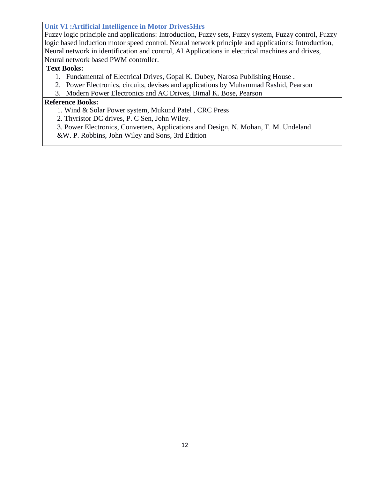**Unit VI :Artificial Intelligence in Motor Drives5Hrs**

Fuzzy logic principle and applications: Introduction, Fuzzy sets, Fuzzy system, Fuzzy control, Fuzzy logic based induction motor speed control. Neural network principle and applications: Introduction, Neural network in identification and control, AI Applications in electrical machines and drives, Neural network based PWM controller.

### **Text Books:**

- 1. Fundamental of Electrical Drives, Gopal K. Dubey, Narosa Publishing House .
- 2. Power Electronics, circuits, devises and applications by Muhammad Rashid, Pearson
- 3. Modern Power Electronics and AC Drives, Bimal K. Bose, Pearson

### **Reference Books:**

1. Wind & Solar Power system, Mukund Patel , CRC Press

2. Thyristor DC drives, P. C Sen, John Wiley.

3. Power Electronics, Converters, Applications and Design, N. Mohan, T. M. Undeland

&W. P. Robbins, John Wiley and Sons, 3rd Edition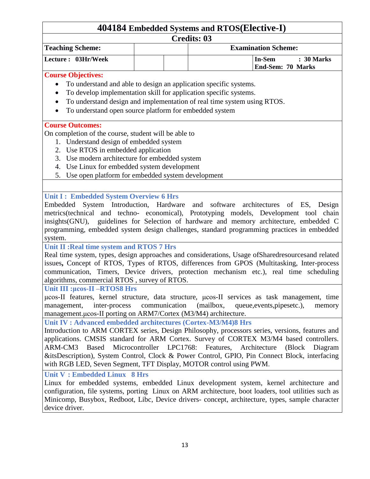# **404184 Embedded Systems and RTOS(Elective-I)**

#### **Credits: 03**

| <b>Teaching Scheme:</b> | <b>Examination Scheme:</b>      |
|-------------------------|---------------------------------|
| Lecture: 03Hr/Week      | $\therefore$ 30 Marks<br>In-Sem |
|                         | <b>End-Sem: 70 Marks</b>        |

#### **Course Objectives:**

- To understand and able to design an application specific systems.
- To develop implementation skill for application specific systems.
- To understand design and implementation of real time system using RTOS.
- To understand open source platform for embedded system

#### **Course Outcomes:**

On completion of the course, student will be able to

- 1. Understand design of embedded system
- 2. Use RTOS in embedded application
- 3. Use modern architecture for embedded system
- 4. Use Linux for embedded system development
- 5. Use open platform for embedded system development

**Unit I : Embedded System Overview 6 Hrs**

Embedded System Introduction, Hardware and software architectures of ES, Design metrics(technical and techno- economical), Prototyping models, Development tool chain insights(GNU), guidelines for Selection of hardware and memory architecture, embedded C programming, embedded system design challenges, standard programming practices in embedded system.

#### **Unit II :Real time system and RTOS 7 Hrs**

Real time system, types, design approaches and considerations, Usage ofSharedresourcesand related issues**,** Concept of RTOS, Types of RTOS, differences from GPOS (Multitasking, Inter-process communication, Timers, Device drivers, protection mechanism etc.), real time scheduling algorithms, commercial RTOS , survey of RTOS.

**Unit III :μcos-II –RTOS8 Hrs**

μcos-II features, kernel structure, data structure, μcos-II services as task management, time management, inter-process communication (mailbox, queue,events,pipesetc.), memory management.μcos-II porting on ARM7/Cortex (M3/M4) architecture.

**Unit IV : Advanced embedded architectures (Cortex-M3/M4)8 Hrs**

Introduction to ARM CORTEX series, Design Philosophy, processors series, versions, features and applications. CMSIS standard for ARM Cortex. Survey of CORTEX M3/M4 based controllers. ARM-CM3 Based Microcontroller LPC1768: Features, Architecture (Block Diagram &itsDescription), System Control, Clock & Power Control, GPIO, Pin Connect Block, interfacing with RGB LED, Seven Segment, TFT Display, MOTOR control using PWM.

**Unit V : Embedded Linux 8 Hrs**

Linux for embedded systems, embedded Linux development system, kernel architecture and configuration, file systems, porting Linux on ARM architecture, boot loaders, tool utilities such as Minicomp, Busybox, Redboot, Libc, Device drivers- concept, architecture, types, sample character device driver.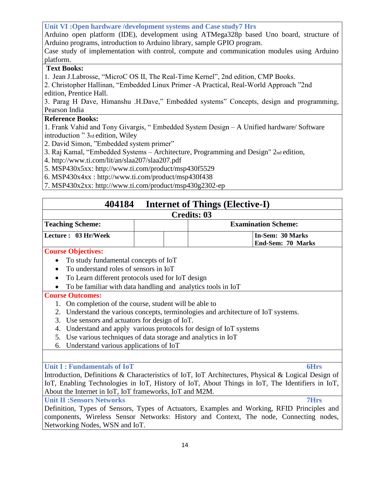**Unit VI :Open hardware /development systems and Case study7 Hrs**

Arduino open platform (IDE), development using ATMega328p based Uno board, structure of Arduino programs, introduction to Arduino library, sample GPIO program.

Case study of implementation with control, compute and communication modules using Arduino platform.

#### **Text Books:**

1. Jean J.Labrosse, "MicroC OS II, The Real-Time Kernel", 2nd edition, CMP Books.

2. Christopher Hallinan, "Embedded Linux Primer -A Practical, Real-World Approach "2nd edition, Prentice Hall.

3. Parag H Dave, Himanshu .H.Dave," Embedded systems" Concepts, design and programming, Pearson India

#### **Reference Books:**

1. Frank Vahid and Tony Givargis, "Embedded System Design – A Unified hardware/ Software introduction "3rd edition, Wiley

2. David Simon, "Embedded system primer"

- 3. Raj Kamal, "Embedded Systems Architecture, Programming and Design" 2nd edition,
- 4.<http://www.ti.com/lit/an/slaa207/slaa207.pdf>
- 5. MSP430x5xx:<http://www.ti.com/product/msp430f5529>

6. MSP430x4xx :<http://www.ti.com/product/msp430f438>

7. MSP430x2xx:<http://www.ti.com/product/msp430g2302-ep>

| 404184                                                                                 |  | <b>Internet of Things (Elective-I)</b>                                                              |  |  |  |
|----------------------------------------------------------------------------------------|--|-----------------------------------------------------------------------------------------------------|--|--|--|
| <b>Credits: 03</b>                                                                     |  |                                                                                                     |  |  |  |
| <b>Teaching Scheme:</b>                                                                |  | <b>Examination Scheme:</b>                                                                          |  |  |  |
| Lecture: 03 Hr/Week                                                                    |  | <b>In-Sem: 30 Marks</b><br>End-Sem: 70 Marks                                                        |  |  |  |
| <b>Course Objectives:</b>                                                              |  |                                                                                                     |  |  |  |
| To study fundamental concepts of IoT                                                   |  |                                                                                                     |  |  |  |
| To understand roles of sensors in IoT                                                  |  |                                                                                                     |  |  |  |
| To Learn different protocols used for IoT design                                       |  |                                                                                                     |  |  |  |
| To be familiar with data handling and analytics tools in IoT                           |  |                                                                                                     |  |  |  |
| <b>Course Outcomes:</b>                                                                |  |                                                                                                     |  |  |  |
| On completion of the course, student will be able to                                   |  |                                                                                                     |  |  |  |
| 2.                                                                                     |  | Understand the various concepts, terminologies and architecture of IoT systems.                     |  |  |  |
| Use sensors and actuators for design of IoT.<br>3.                                     |  |                                                                                                     |  |  |  |
| 4.                                                                                     |  | Understand and apply various protocols for design of IoT systems                                    |  |  |  |
| Use various techniques of data storage and analytics in IoT<br>5.                      |  |                                                                                                     |  |  |  |
| Understand various applications of IoT<br>6.                                           |  |                                                                                                     |  |  |  |
|                                                                                        |  |                                                                                                     |  |  |  |
| <b>Unit I: Fundamentals of IoT</b>                                                     |  | <b>6Hrs</b>                                                                                         |  |  |  |
|                                                                                        |  | Introduction, Definitions & Characteristics of IoT, IoT Architectures, Physical & Logical Design of |  |  |  |
|                                                                                        |  | IoT, Enabling Technologies in IoT, History of IoT, About Things in IoT, The Identifiers in IoT,     |  |  |  |
| About the Internet in IoT, IoT frameworks, IoT and M2M.                                |  |                                                                                                     |  |  |  |
| <b>Unit II: Sensors Networks</b><br>7Hrs                                               |  |                                                                                                     |  |  |  |
|                                                                                        |  | Definition, Types of Sensors, Types of Actuators, Examples and Working, RFID Principles and         |  |  |  |
| components, Wireless Sensor Networks: History and Context, The node, Connecting nodes, |  |                                                                                                     |  |  |  |

Networking Nodes, WSN and IoT.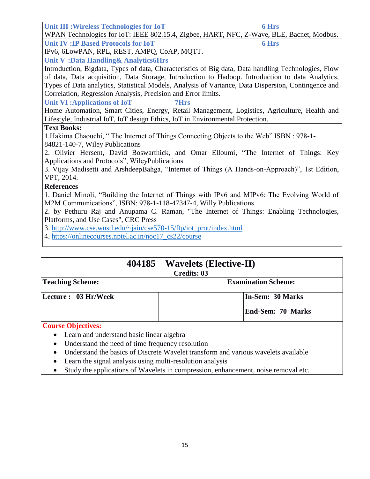**Unit III :Wireless Technologies for IoT 6 Hrs**

WPAN Technologies for IoT: IEEE 802.15.4, Zigbee, HART, NFC, Z-Wave, BLE, Bacnet, Modbus. **Unit IV :IP Based Protocols for IoT 6 Hrs**

IPv6, 6LowPAN, RPL, REST, AMPQ, CoAP, MQTT.

**Unit V :Data Handling& Analytics6Hrs**

Introduction, Bigdata, Types of data, Characteristics of Big data, Data handling Technologies, Flow of data, Data acquisition, Data Storage, Introduction to Hadoop. Introduction to data Analytics, Types of Data analytics, Statistical Models, Analysis of Variance, Data Dispersion, Contingence and Correlation, Regression Analysis, Precision and Error limits.

**Unit VI :Applications of IoT 7Hrs**

Home Automation, Smart Cities, Energy, Retail Management, Logistics, Agriculture, Health and Lifestyle, Industrial IoT, IoT design Ethics, IoT in Environmental Protection.

#### **Text Books:**

1. Hakima Chaouchi, "The Internet of Things Connecting Objects to the Web" ISBN : 978-1-84821-140-7, Wiley Publications

2. Olivier Hersent, David Boswarthick, and Omar Elloumi, "The Internet of Things: Key Applications and Protocols", WileyPublications

3. Vijay Madisetti and ArshdeepBahga, "Internet of Things (A Hands-on-Approach)", 1st Edition, VPT, 2014.

#### **References**

1. Daniel Minoli, "Building the Internet of Things with IPv6 and MIPv6: The Evolving World of M2M Communications", ISBN: 978-1-118-47347-4, Willy Publications

2. by Pethuru Raj and Anupama C. Raman, "The Internet of Things: Enabling Technologies, Platforms, and Use Cases", CRC Press

3. [http://www.cse.wustl.edu/~jain/cse570-15/ftp/iot\\_prot/index.html](http://www.cse.wustl.edu/~jain/cse570-15/ftp/iot_prot/index.html)

4. [https://onlinecourses.nptel.ac.in/noc17\\_cs22/course](https://onlinecourses.nptel.ac.in/noc17_cs22/course)

|                         |  | 404185 Wavelets (Elective-II) |                                       |
|-------------------------|--|-------------------------------|---------------------------------------|
|                         |  | <b>Credits: 03</b>            |                                       |
| <b>Teaching Scheme:</b> |  |                               | <b>Examination Scheme:</b>            |
| Lecture: 03 Hr/Week     |  |                               | In-Sem: 30 Marks<br>End-Sem: 70 Marks |

**Course Objectives:**

- Learn and understand basic linear algebra
- Understand the need of time frequency resolution
- Understand the basics of Discrete Wavelet transform and various wavelets available
- Learn the signal analysis using multi-resolution analysis
- Study the applications of Wavelets in compression, enhancement, noise removal etc.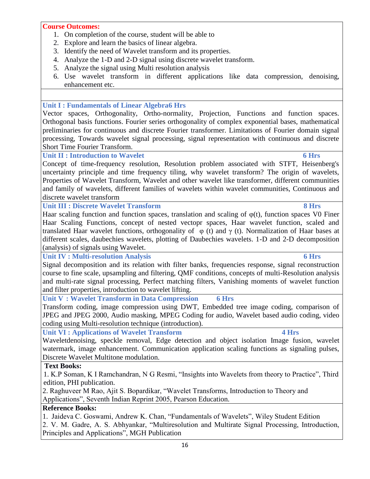**Course Outcomes:**

- 1. On completion of the course, student will be able to
- 2. Explore and learn the basics of linear algebra.
- 3. Identify the need of Wavelet transform and its properties.
- 4. Analyze the 1-D and 2-D signal using discrete wavelet transform.
- 5. Analyze the signal using Multi resolution analysis
- 6. Use wavelet transform in different applications like data compression, denoising, enhancement etc.

**Unit I : Fundamentals of Linear Algebra6 Hrs**

Vector spaces, Orthogonality, Ortho-normality, Projection, Functions and function spaces. Orthogonal basis functions. Fourier series orthogonality of complex exponential bases, mathematical preliminaries for continuous and discrete Fourier transformer. Limitations of Fourier domain signal processing, Towards wavelet signal processing, signal representation with continuous and discrete Short Time Fourier Transform.

**Unit II : Introduction to Wavelet 6 Hrs 6 Hrs** 

Concept of time-frequency resolution, Resolution problem associated with STFT, Heisenberg's uncertainty principle and time frequency tiling, why wavelet transform? The origin of wavelets, Properties of Wavelet Transform, Wavelet and other wavelet like transformer, different communities and family of wavelets, different families of wavelets within wavelet communities, Continuous and discrete wavelet transform

**Unit III : Discrete Wavelet Transform 8 Hrs**

Haar scaling function and function spaces, translation and scaling of  $\varphi(t)$ , function spaces V0 Finer Haar Scaling Functions, concept of nested vectopr spaces, Haar wavelet function, scaled and translated Haar wavelet functions, orthogonality of  $\varphi$  (t) and  $\gamma$  (t). Normalization of Haar bases at different scales, daubechies wavelets, plotting of Daubechies wavelets. 1-D and 2-D decomposition (analysis) of signals using Wavelet.

**Unit IV : Multi-resolution Analysis 6 Hrs**

Signal decomposition and its relation with filter banks, frequencies response, signal reconstruction course to fine scale, upsampling and filtering, QMF conditions, concepts of multi-Resolution analysis and multi-rate signal processing, Perfect matching filters, Vanishing moments of wavelet function and filter properties, introduction to wavelet lifting.

**Unit V : Wavelet Transform in Data Compression 6 Hrs**

Transform coding, image compression using DWT, Embedded tree image coding, comparison of JPEG and JPEG 2000, Audio masking, MPEG Coding for audio, Wavelet based audio coding, video coding using Multi-resolution technique (introduction).

**Unit VI : Applications of Wavelet Transform 4 Hrs**

Waveletdenoising, speckle removal, Edge detection and object isolation Image fusion, wavelet watermark, image enhancement. Communication application scaling functions as signaling pulses, Discrete Wavelet Multitone modulation.

#### **Text Books:**

1. K.P Soman, K I Ramchandran, N G Resmi, "Insights into Wavelets from theory to Practice", Third edition, PHI publication.

2. Raghuveer M Rao, Ajit S. Bopardikar, "Wavelet Transforms, Introduction to Theory and Applications", Seventh Indian Reprint 2005, Pearson Education.

#### **Reference Books:**

1. Jaideva C. Goswami, Andrew K. Chan, "Fundamentals of Wavelets", Wiley Student Edition 2. V. M. Gadre, A. S. Abhyankar, "Multiresolution and Multirate Signal Processing, Introduction, Principles and Applications", MGH Publication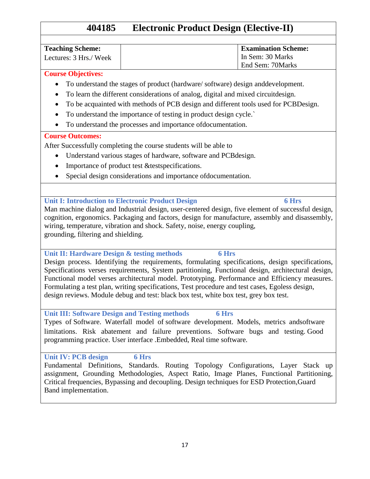# **404185 Electronic Product Design (Elective-II)**

| <b>Teaching Scheme:</b> | <b>Examination Scheme:</b> |
|-------------------------|----------------------------|
| Lectures: 3 Hrs./ Week  | In Sem: 30 Marks           |
|                         | End Sem: 70Marks           |

#### **Course Objectives:**

- To understand the stages of product (hardware/ software) design anddevelopment.
- To learn the different considerations of analog, digital and mixed circuitdesign.
- To be acquainted with methods of PCB design and different tools used for PCBDesign.
- To understand the importance of testing in product design cycle.`
- To understand the processes and importance ofdocumentation.

#### **Course Outcomes:**

After Successfully completing the course students will be able to

- Understand various stages of hardware, software and PCBdesign.
- Importance of product test &testspecifications.
- Special design considerations and importance of documentation.

#### **Unit I: Introduction to Electronic Product Design 6 Hrs**

Man machine dialog and Industrial design, user-centered design, five element of successful design, cognition, ergonomics. Packaging and factors, design for manufacture, assembly and disassembly, wiring, temperature, vibration and shock. Safety, noise, energy coupling, grounding, filtering and shielding.

#### **Unit II: Hardware Design & testing methods 6 Hrs**

Design process. Identifying the requirements, formulating specifications, design specifications, Specifications verses requirements, System partitioning, Functional design, architectural design, Functional model verses architectural model. Prototyping. Performance and Efficiency measures. Formulating a test plan, writing specifications, Test procedure and test cases, Egoless design, design reviews. Module debug and test: black box test, white box test, grey box test.

**Unit III: Software Design and Testing methods 6 Hrs**

Types of Software. Waterfall model of software development. Models, metrics andsoftware limitations. Risk abatement and failure preventions. Software bugs and testing. Good programming practice. User interface .Embedded, Real time software.

#### **Unit IV: PCB design 6 Hrs**

Fundamental Definitions, Standards. Routing Topology Configurations, Layer Stack up assignment, Grounding Methodologies, Aspect Ratio, Image Planes, Functional Partitioning, Critical frequencies, Bypassing and decoupling. Design techniques for ESD Protection,Guard Band implementation.

17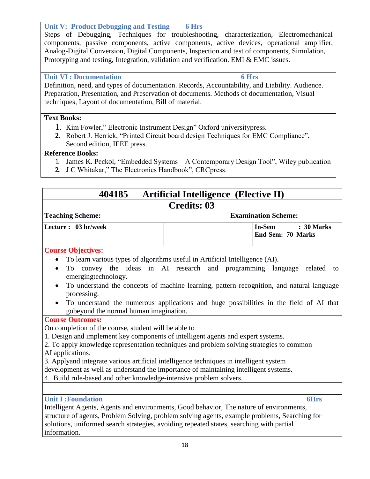### **Unit V: Product Debugging and Testing 6 Hrs**

Steps of Debugging, Techniques for troubleshooting, characterization, Electromechanical components, passive components, active components, active devices, operational amplifier, Analog-Digital Conversion, Digital Components, Inspection and test of components, Simulation, Prototyping and testing, Integration, validation and verification. EMI & EMC issues.

#### **Unit VI : Documentation** 6 Hrs

Definition, need, and types of documentation. Records, Accountability, and Liability. Audience. Preparation, Presentation, and Preservation of documents. Methods of documentation, Visual techniques, Layout of documentation, Bill of material.

#### **Text Books:**

- 1. Kim Fowler," Electronic Instrument Design" Oxford universitypress.
- 2. Robert J. Herrick, "Printed Circuit board design Techniques for EMC Compliance", Second edition, IEEE press.

### **Reference Books:**

- 1. James K. Peckol, "Embedded Systems A Contemporary Design Tool", Wiley publication
- **2.** J C Whitakar," The Electronics Handbook", CRCpress.

| 404185                                                             | <b>Artificial Intelligence (Elective II)</b>                                                  |
|--------------------------------------------------------------------|-----------------------------------------------------------------------------------------------|
|                                                                    | <b>Credits: 03</b>                                                                            |
| <b>Teaching Scheme:</b>                                            | <b>Examination Scheme:</b>                                                                    |
| Lecture: 03 hr/week                                                | : 30 Marks<br><b>In-Sem</b><br>End-Sem: 70 Marks                                              |
| <b>Course Objectives:</b>                                          |                                                                                               |
|                                                                    | To learn various types of algorithms useful in Artificial Intelligence (AI).                  |
|                                                                    | To convey the ideas in AI research and programming language related<br>to                     |
| emergingtechnology.                                                |                                                                                               |
| $\bullet$                                                          | To understand the concepts of machine learning, pattern recognition, and natural language     |
| processing.                                                        |                                                                                               |
|                                                                    | To understand the numerous applications and huge possibilities in the field of AI that        |
| gobeyond the normal human imagination.                             |                                                                                               |
| <b>Course Outcomes:</b>                                            |                                                                                               |
| On completion of the course, student will be able to               |                                                                                               |
|                                                                    | 1. Design and implement key components of intelligent agents and expert systems.              |
|                                                                    | 2. To apply knowledge representation techniques and problem solving strategies to common      |
| AI applications.                                                   |                                                                                               |
|                                                                    | 3. Applyand integrate various artificial intelligence techniques in intelligent system        |
|                                                                    | development as well as understand the importance of maintaining intelligent systems.          |
| 4. Build rule-based and other knowledge-intensive problem solvers. |                                                                                               |
|                                                                    |                                                                                               |
| <b>Unit I: Foundation</b>                                          | <b>6Hrs</b>                                                                                   |
|                                                                    | Intelligent Agents, Agents and environments, Good behavior, The nature of environments,       |
|                                                                    | structure of agents. Problem Solving, problem solving agents, example problems. Searching for |

em Solving, problem solving agents, example problems, Searching for solutions, uniformed search strategies, avoiding repeated states, searching with partial information.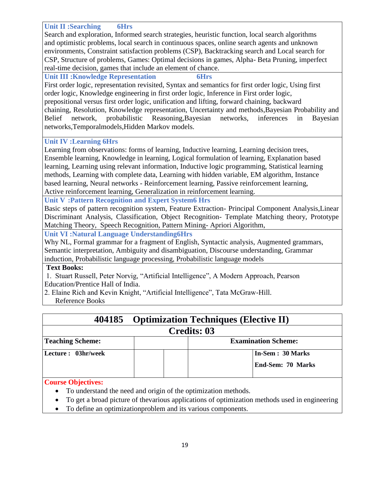#### **Unit II :Searching 6Hrs**

Search and exploration, Informed search strategies, heuristic function, local search algorithms and optimistic problems, local search in continuous spaces, online search agents and unknown environments, Constraint satisfaction problems (CSP), Backtracking search and Local search for CSP, Structure of problems, Games: Optimal decisions in games, Alpha- Beta Pruning, imperfect real-time decision, games that include an element of chance.

**Unit III :Knowledge Representation 6Hrs**

First order logic, representation revisited, Syntax and semantics for first order logic, Using first order logic, Knowledge engineering in first order logic, Inference in First order logic, prepositional versus first order logic, unification and lifting, forward chaining, backward chaining, Resolution, Knowledge representation, Uncertainty and methods,Bayesian Probability and Belief network, probabilistic Reasoning,Bayesian networks, inferences in Bayesian networks,Temporalmodels,Hidden Markov models.

#### **Unit IV :Learning 6Hrs**

Learning from observations: forms of learning, Inductive learning, Learning decision trees, Ensemble learning, Knowledge in learning, Logical formulation of learning, Explanation based learning, Learning using relevant information, Inductive logic programming, Statistical learning methods, Learning with complete data, Learning with hidden variable, EM algorithm, Instance based learning, Neural networks - Reinforcement learning, Passive reinforcement learning, Active reinforcement learning, Generalization in reinforcement learning.

**Unit V :Pattern Recognition and Expert System6 Hrs**

Basic steps of pattern recognition system, Feature Extraction- Principal Component Analysis,Linear Discriminant Analysis, Classification, Object Recognition- Template Matching theory, Prototype Matching Theory, Speech Recognition, Pattern Mining- Apriori Algorithm,

**Unit VI :Natural Language Understanding6Hrs**

Why NL, Formal grammar for a fragment of English, Syntactic analysis, Augmented grammars, Semantic interpretation, Ambiguity and disambiguation, Discourse understanding, Grammar

induction, Probabilistic language processing, Probabilistic language models

#### **Text Books:**

1. Stuart Russell, Peter Norvig, "Artificial Intelligence", A Modern Approach, Pearson Education/Prentice Hall of India.

- 2. Elaine Rich and Kevin Knight, "Artificial Intelligence", Tata McGraw-Hill.
	- Reference Books

|                         | 404185 Optimization Techniques (Elective II) |                                       |
|-------------------------|----------------------------------------------|---------------------------------------|
|                         |                                              | <b>Credits: 03</b>                    |
| <b>Teaching Scheme:</b> |                                              | <b>Examination Scheme:</b>            |
| Lecture: 03hr/week      |                                              | In-Sem: 30 Marks<br>End-Sem: 70 Marks |

#### **Course Objectives:**

- To understand the need and origin of the optimization methods.
- To get a broad picture of the various applications of optimization methods used in engineering
- To define an optimizationproblem and its various components.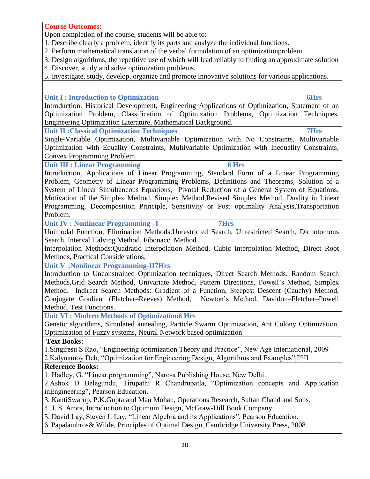**Course Outcomes:**

Upon completion of the course, students will be able to:

1. Describe clearly a problem, identify its parts and analyze the individual functions.

2. Perform mathematical translation of the verbal formulation of an optimizationproblem.

3. Design algorithms, the repetitive use of which will lead reliably to finding an approximate solution

4. Discover, study and solve optimization problems.

5. Investigate, study, develop, organize and promote innovative solutions for various applications.

**Unit I : Introduction to Optimization 6Hrs** 

Introduction: Historical Development, Engineering Applications of Optimization, Statement of an Optimization Problem, Classification of Optimization Problems, Optimization Techniques, Engineering Optimization Literature, Mathematical Background.

**Unit II :Classical Optimization Techniques 7Hrs**

Single-Variable Optimization, Multivariable Optimization with No Constraints, Multivariable Optimization with Equality Constraints, Multivariable Optimization with Inequality Constraints, Convex Programming Problem.

**Unit III : Linear Programming 6 Hrs**

Introduction, Applications of Linear Programming, Standard Form of a Linear Programming Problem, Geometry of Linear Programming Problems, Definitions and Theorems, Solution of a System of Linear Simultaneous Equations, Pivotal Reduction of a General System of Equations, Motivation of the Simplex Method, Simplex Method,Revised Simplex Method, Duality in Linear Programming, Decomposition Principle, Sensitivity or Post optimality Analysis,Transportation Problem.

**Unit IV : Nonlinear Programming -I 7Hrs**

Unimodal Function, Elimination Methods:Unrestricted Search, Unrestricted Search, Dichotomous Search, Interval Halving Method, Fibonacci Method

Interpolation Methods:Quadratic Interpolation Method, Cubic Interpolation Method, Direct Root Methods, Practical Considerations,

**Unit V :Nonlinear Programming-II7Hrs**

Introduction to Unconstrained Optimization techniques, Direct Search Methods: Random Search Methods,Grid Search Method, Univariate Method, Pattern Directions, Powell's Method, Simplex Method. Indirect Search Methods: Gradient of a Function, Steepest Descent (Cauchy) Method, Conjugate Gradient (Fletcher–Reeves) Method, Newton's Method, Davidon–Fletcher–Powell Method, Test Functions.

**Unit VI : Modern Methods of Optimization6 Hrs**

Genetic algorithms, Simulated annealing, Particle Swarm Optimization, Ant Colony Optimization, Optimization of Fuzzy systems, Neural Network based optimization

#### **Text Books:**

1. Singiresu S Rao, "Engineering optimization Theory and Practice", New Age International, 2009 2.Kalynamoy Deb, "Optimization for Engineering Design, Algorithms and Examples", PHI

#### **Reference Books:**

1. Hadley, G. "Linear programming", Narosa Publishing House, New Delhi.

2.Ashok D Belegundu, Tirupathi R Chandrupatla, "Optimization concepts and Application inEngineering", Pearson Education.

3. KantiSwarup, P.K.Gupta and Man Mohan, Operations Research, Sultan Chand and Sons.

4. J. S. Arora, Introduction to Optimum Design, McGraw-Hill Book Company.

5. David Lay, Steven L Lay, "Linear Algebra and its Applications", Pearson Education.

6. Papalambros& Wilde, Principles of Optimal Design, Cambridge University Press, 2008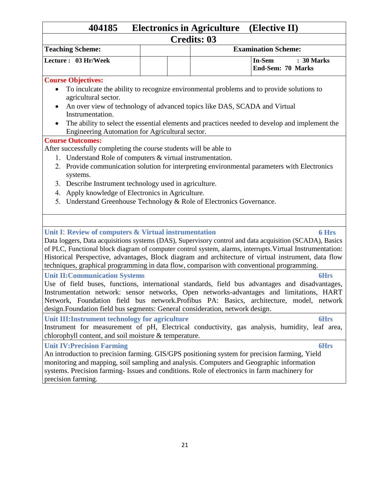| 404185                                                                                                     | <b>Electronics in Agriculture</b> |                    | (Elective II)                                                                                             |
|------------------------------------------------------------------------------------------------------------|-----------------------------------|--------------------|-----------------------------------------------------------------------------------------------------------|
|                                                                                                            |                                   | <b>Credits: 03</b> |                                                                                                           |
| <b>Teaching Scheme:</b>                                                                                    |                                   |                    | <b>Examination Scheme:</b>                                                                                |
| Lecture: 03 Hr/Week                                                                                        |                                   |                    | In-Sem<br>: 30 Marks<br>End-Sem: 70 Marks                                                                 |
| <b>Course Objectives:</b>                                                                                  |                                   |                    |                                                                                                           |
| agricultural sector.                                                                                       |                                   |                    | To inculcate the ability to recognize environmental problems and to provide solutions to                  |
| An over view of technology of advanced topics like DAS, SCADA and Virtual<br>$\bullet$<br>Instrumentation. |                                   |                    |                                                                                                           |
| Engineering Automation for Agricultural sector.                                                            |                                   |                    | The ability to select the essential elements and practices needed to develop and implement the            |
| <b>Course Outcomes:</b>                                                                                    |                                   |                    |                                                                                                           |
| After successfully completing the course students will be able to                                          |                                   |                    |                                                                                                           |
| 1. Understand Role of computers & virtual instrumentation.                                                 |                                   |                    |                                                                                                           |
| systems.                                                                                                   |                                   |                    | 2. Provide communication solution for interpreting environmental parameters with Electronics              |
| 3. Describe Instrument technology used in agriculture.                                                     |                                   |                    |                                                                                                           |
| 4. Apply knowledge of Electronics in Agriculture.                                                          |                                   |                    |                                                                                                           |
| 5. Understand Greenhouse Technology & Role of Electronics Governance.                                      |                                   |                    |                                                                                                           |
|                                                                                                            |                                   |                    |                                                                                                           |
|                                                                                                            |                                   |                    |                                                                                                           |
| Unit I: Review of computers & Virtual instrumentation                                                      |                                   |                    | <b>6 Hrs</b>                                                                                              |
|                                                                                                            |                                   |                    | Data loggers, Data acquisitions systems (DAS), Supervisory control and data acquisition (SCADA), Basics   |
|                                                                                                            |                                   |                    | of PLC, Functional block diagram of computer control system, alarms, interrupts. Virtual Instrumentation: |
|                                                                                                            |                                   |                    | Historical Perspective, advantages, Block diagram and architecture of virtual instrument, data flow       |
| techniques, graphical programming in data flow, comparison with conventional programming.                  |                                   |                    |                                                                                                           |
| <b>Unit II: Communication Systems</b>                                                                      |                                   |                    | <b>6Hrs</b>                                                                                               |
|                                                                                                            |                                   |                    | Use of field buses, functions, international standards, field bus advantages and disadvantages,           |
|                                                                                                            |                                   |                    | Instrumentation network: sensor networks, Open networks-advantages and limitations, HART                  |
|                                                                                                            |                                   |                    | Network, Foundation field bus network. Profibus PA: Basics, architecture, model, network                  |
| design. Foundation field bus segments: General consideration, network design.                              |                                   |                    |                                                                                                           |
| Unit III: Instrument technology for agriculture                                                            |                                   |                    | <b>6Hrs</b>                                                                                               |
|                                                                                                            |                                   |                    | Instrument for measurement of pH, Electrical conductivity, gas analysis, humidity, leaf area,             |
| chlorophyll content, and soil moisture & temperature.                                                      |                                   |                    |                                                                                                           |
| <b>Unit IV: Precision Farming</b>                                                                          |                                   |                    | <b>6Hrs</b>                                                                                               |
| An introduction to precision farming. GIS/GPS positioning system for precision farming, Yield              |                                   |                    |                                                                                                           |
| monitoring and mapping, soil sampling and analysis. Computers and Geographic information                   |                                   |                    |                                                                                                           |
| systems. Precision farming- Issues and conditions. Role of electronics in farm machinery for               |                                   |                    |                                                                                                           |
| precision farming.                                                                                         |                                   |                    |                                                                                                           |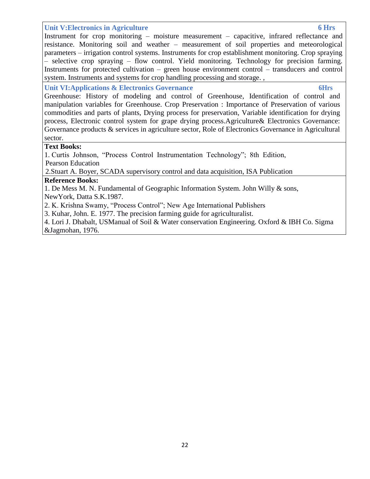**Unit V:Electronics in Agriculture 6 Hrs** Instrument for crop monitoring – moisture measurement – capacitive, infrared reflectance and resistance. Monitoring soil and weather – measurement of soil properties and meteorological parameters – irrigation control systems. Instruments for crop establishment monitoring. Crop spraying – selective crop spraying – flow control. Yield monitoring. Technology for precision farming. Instruments for protected cultivation – green house environment control – transducers and control system. Instruments and systems for crop handling processing and storage. , **Unit VI:Applications & Electronics Governance 6Hrs** Greenhouse: History of modeling and control of Greenhouse, Identification of control and

manipulation variables for Greenhouse. Crop Preservation : Importance of Preservation of various commodities and parts of plants, Drying process for preservation, Variable identification for drying process, Electronic control system for grape drying process.Agriculture& Electronics Governance: Governance products & services in agriculture sector, Role of Electronics Governance in Agricultural sector.

#### **Text Books:**

1. Curtis Johnson, "Process Control Instrumentation Technology"; 8th Edition, Pearson Education

2.Stuart A. Boyer, SCADA supervisory control and data acquisition, ISA Publication

#### **Reference Books:**

1. De Mess M. N. Fundamental of Geographic Information System. John Willy & sons,

NewYork, Datta S.K.1987.

2. K. Krishna Swamy, "Process Control"; New Age International Publishers

3. Kuhar, John. E. 1977. The precision farming guide for agriculturalist.

4. Lori J. Dhabalt, USManual of Soil & Water conservation Engineering. Oxford & IBH Co. Sigma &Jagmohan, 1976.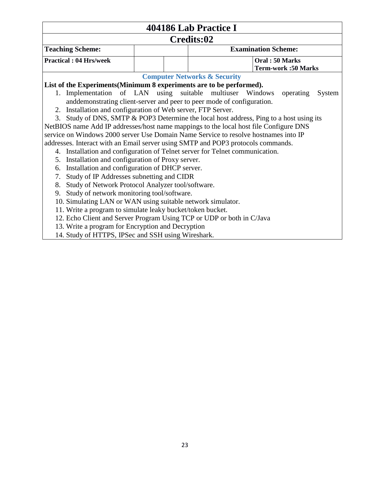|                                                                      |                                                             | 404186 Lab Practice I                                                                   |  |  |  |
|----------------------------------------------------------------------|-------------------------------------------------------------|-----------------------------------------------------------------------------------------|--|--|--|
| Credits:02                                                           |                                                             |                                                                                         |  |  |  |
| <b>Teaching Scheme:</b>                                              |                                                             | <b>Examination Scheme:</b>                                                              |  |  |  |
| <b>Practical: 04 Hrs/week</b>                                        |                                                             | Oral: 50 Marks<br><b>Term-work: 50 Marks</b>                                            |  |  |  |
|                                                                      |                                                             | <b>Computer Networks &amp; Security</b>                                                 |  |  |  |
| List of the Experiments (Minimum 8 experiments are to be performed). |                                                             |                                                                                         |  |  |  |
| 1.                                                                   |                                                             | Implementation of LAN using suitable multiuser Windows<br>operating<br>System           |  |  |  |
|                                                                      |                                                             | anddemonstrating client-server and peer to peer mode of configuration.                  |  |  |  |
| 2. Installation and configuration of Web server, FTP Server.         |                                                             |                                                                                         |  |  |  |
|                                                                      |                                                             | 3. Study of DNS, SMTP & POP3 Determine the local host address, Ping to a host using its |  |  |  |
|                                                                      |                                                             | NetBIOS name Add IP addresses/host name mappings to the local host file Configure DNS   |  |  |  |
|                                                                      |                                                             | service on Windows 2000 server Use Domain Name Service to resolve hostnames into IP     |  |  |  |
|                                                                      |                                                             | addresses. Interact with an Email server using SMTP and POP3 protocols commands.        |  |  |  |
|                                                                      |                                                             | 4. Installation and configuration of Telnet server for Telnet communication.            |  |  |  |
| Installation and configuration of Proxy server.<br>5.                |                                                             |                                                                                         |  |  |  |
| Installation and configuration of DHCP server.<br>6.                 |                                                             |                                                                                         |  |  |  |
| Study of IP Addresses subnetting and CIDR<br>7.                      |                                                             |                                                                                         |  |  |  |
| Study of Network Protocol Analyzer tool/software.<br>8.              |                                                             |                                                                                         |  |  |  |
| 9.                                                                   | Study of network monitoring tool/software.                  |                                                                                         |  |  |  |
|                                                                      | 10. Simulating LAN or WAN using suitable network simulator. |                                                                                         |  |  |  |
| 11. Write a program to simulate leaky bucket/token bucket.           |                                                             |                                                                                         |  |  |  |
|                                                                      |                                                             | 12. Echo Client and Server Program Using TCP or UDP or both in C/Java                   |  |  |  |
| 13. Write a program for Encryption and Decryption                    |                                                             |                                                                                         |  |  |  |
| 14. Study of HTTPS, IPSec and SSH using Wireshark.                   |                                                             |                                                                                         |  |  |  |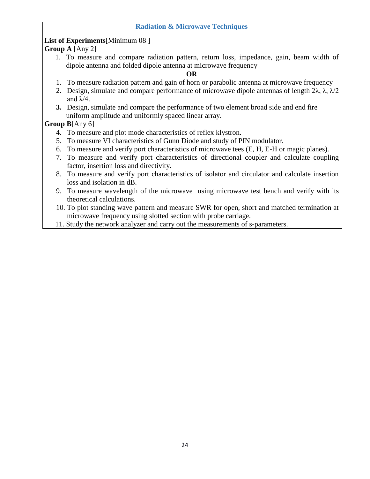#### **Radiation & Microwave Techniques**

#### **List of Experiments**[Minimum 08 ]

**Group A** [Any 2]

1. To measure and compare radiation pattern, return loss, impedance, gain, beam width of dipole antenna and folded dipole antenna at microwave frequency

#### **OR**

- 1. To measure radiation pattern and gain of horn or parabolic antenna at microwave frequency
- 2. Design, simulate and compare performance of microwave dipole antennas of length 2λ,  $λ$ ,  $λ/2$ and  $\lambda/4$ .
- **3.** Design, simulate and compare the performance of two element broad side and end fire uniform amplitude and uniformly spaced linear array.

### **Group B**[Any 6]

- 4. To measure and plot mode characteristics of reflex klystron.
- 5. To measure VI characteristics of Gunn Diode and study of PIN modulator.
- 6. To measure and verify port characteristics of microwave tees (E, H, E-H or magic planes).
- 7. To measure and verify port characteristics of directional coupler and calculate coupling factor, insertion loss and directivity.
- 8. To measure and verify port characteristics of isolator and circulator and calculate insertion loss and isolation in dB.
- 9. To measure wavelength of the microwave using microwave test bench and verify with its theoretical calculations.
- 10. To plot standing wave pattern and measure SWR for open, short and matched termination at microwave frequency using slotted section with probe carriage.
- 11. Study the network analyzer and carry out the measurements of s-parameters.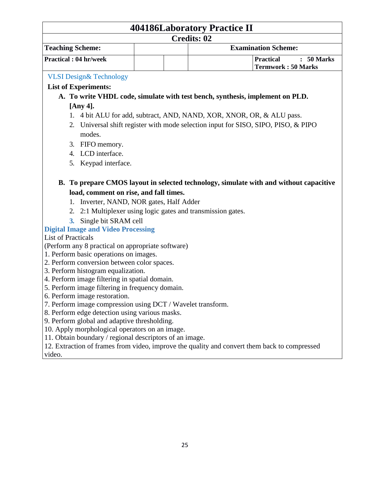# **404186Laboratory Practice II**

## **Credits: 02**

|                              | URTURO VA                                                       |
|------------------------------|-----------------------------------------------------------------|
| <b>Teaching Scheme:</b>      | <b>Examination Scheme:</b>                                      |
| <b>Practical: 04 hr/week</b> | $\therefore$ 50 Marks<br><b>Practical</b><br>Termwork: 50 Marks |
|                              |                                                                 |

#### VLSI Design& Technology

#### **List of Experiments:**

- **A. To write VHDL code, simulate with test bench, synthesis, implement on PLD. [Any 4].**
	- 1. 4 bit ALU for add, subtract, AND, NAND, XOR, XNOR, OR, & ALU pass.
	- 2. Universal shift register with mode selection input for SISO, SIPO, PISO, & PIPO modes.
	- 3. FIFO memory.
	- 4. LCD interface.
	- 5. Keypad interface.

#### **B. To prepare CMOS layout in selected technology, simulate with and without capacitive load, comment on rise, and fall times.**

- 1. Inverter, NAND, NOR gates, Half Adder
- 2. 2:1 Multiplexer using logic gates and transmission gates.
- **3.** Single bit SRAM cell

### **Digital Image and Video Processing**

#### List of Practicals

(Perform any 8 practical on appropriate software)

- 1. Perform basic operations on images.
- 2. Perform conversion between color spaces.
- 3. Perform histogram equalization.
- 4. Perform image filtering in spatial domain.
- 5. Perform image filtering in frequency domain.
- 6. Perform image restoration.
- 7. Perform image compression using DCT / Wavelet transform.
- 8. Perform edge detection using various masks.
- 9. Perform global and adaptive thresholding.
- 10. Apply morphological operators on an image.
- 11. Obtain boundary / regional descriptors of an image.

12. Extraction of frames from video, improve the quality and convert them back to compressed video.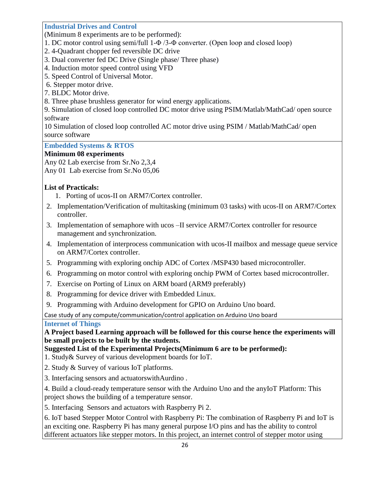**Industrial Drives and Control** 

(Minimum 8 experiments are to be performed):

- 1. DC motor control using semi/full 1-Φ /3-Φ converter. (Open loop and closed loop)
- 2. 4-Quadrant chopper fed reversible DC drive
- 3. Dual converter fed DC Drive (Single phase/ Three phase)
- 4. Induction motor speed control using VFD
- 5. Speed Control of Universal Motor.
- 6. Stepper motor drive.
- 7. BLDC Motor drive.
- 8. Three phase brushless generator for wind energy applications.

9. Simulation of closed loop controlled DC motor drive using PSIM/Matlab/MathCad/ open source software

10 Simulation of closed loop controlled AC motor drive using PSIM / Matlab/MathCad/ open source software

#### **Embedded Systems & RTOS**

#### **Minimum 08 experiments**

Any 02 Lab exercise from Sr.No 2,3,4

Any 01 Lab exercise from Sr.No 05,06

#### **List of Practicals:**

- 1. Porting of ucos-II on ARM7/Cortex controller.
- 2. Implementation/Verification of multitasking (minimum 03 tasks) with ucos-II on ARM7/Cortex controller.
- 3. Implementation of semaphore with ucos –II service ARM7/Cortex controller for resource management and synchronization.
- 4. Implementation of interprocess communication with ucos-II mailbox and message queue service on ARM7/Cortex controller.
- 5. Programming with exploring onchip ADC of Cortex /MSP430 based microcontroller.
- 6. Programming on motor control with exploring onchip PWM of Cortex based microcontroller.
- 7. Exercise on Porting of Linux on ARM board (ARM9 preferably)
- 8. Programming for device driver with Embedded Linux.
- 9. Programming with Arduino development for GPIO on Arduino Uno board.

Case study of any compute/communication/control application on Arduino Uno board

#### **Internet of Things**

**A Project based Learning approach will be followed for this course hence the experiments will be small projects to be built by the students.**

**Suggested List of the Experimental Projects(Minimum 6 are to be performed):**

1. Study& Survey of various development boards for IoT.

- 2. Study & Survey of various IoT platforms.
- 3. Interfacing sensors and actuatorswithAurdino .
- 4. Build a cloud-ready temperature sensor with the Arduino Uno and the anyIoT Platform: This project shows the building of a temperature sensor.
- 5. Interfacing Sensors and actuators with Raspberry Pi 2.

6. IoT based Stepper Motor Control with Raspberry Pi: The combination of Raspberry Pi and IoT is an exciting one. Raspberry Pi has many general purpose I/O pins and has the ability to control different actuators like stepper motors. In this project, an internet control of stepper motor using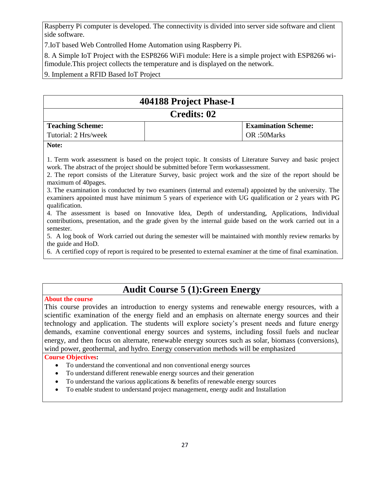Raspberry Pi computer is developed. The connectivity is divided into server side software and client side software.

7.IoT based Web Controlled Home Automation using Raspberry Pi.

8. A Simple IoT Project with the ESP8266 WiFi module: Here is a simple project with ESP8266 wifimodule.This project collects the temperature and is displayed on the network.

9. Implement a RFID Based IoT Project

| 404188 Project Phase-I                                                    |                                                                                                                                                                                                                                                                                                                                                                                                                                                                                                                                                                                                                                                                                                                                                                                                                                                            |  |  |  |
|---------------------------------------------------------------------------|------------------------------------------------------------------------------------------------------------------------------------------------------------------------------------------------------------------------------------------------------------------------------------------------------------------------------------------------------------------------------------------------------------------------------------------------------------------------------------------------------------------------------------------------------------------------------------------------------------------------------------------------------------------------------------------------------------------------------------------------------------------------------------------------------------------------------------------------------------|--|--|--|
| <b>Credits: 02</b>                                                        |                                                                                                                                                                                                                                                                                                                                                                                                                                                                                                                                                                                                                                                                                                                                                                                                                                                            |  |  |  |
| <b>Teaching Scheme:</b>                                                   | <b>Examination Scheme:</b>                                                                                                                                                                                                                                                                                                                                                                                                                                                                                                                                                                                                                                                                                                                                                                                                                                 |  |  |  |
| Tutorial: 2 Hrs/week                                                      | OR:50Marks                                                                                                                                                                                                                                                                                                                                                                                                                                                                                                                                                                                                                                                                                                                                                                                                                                                 |  |  |  |
| Note:                                                                     |                                                                                                                                                                                                                                                                                                                                                                                                                                                                                                                                                                                                                                                                                                                                                                                                                                                            |  |  |  |
| maximum of 40 pages.<br>qualification.<br>semester.<br>the guide and HoD. | 1. Term work assessment is based on the project topic. It consists of Literature Survey and basic project<br>work. The abstract of the project should be submitted before Term workassessment.<br>2. The report consists of the Literature Survey, basic project work and the size of the report should be<br>3. The examination is conducted by two examiners (internal and external) appointed by the university. The<br>examiners appointed must have minimum 5 years of experience with UG qualification or 2 years with PG<br>4. The assessment is based on Innovative Idea, Depth of understanding, Applications, Individual<br>contributions, presentation, and the grade given by the internal guide based on the work carried out in a<br>5. A log book of Work carried out during the semester will be maintained with monthly review remarks by |  |  |  |

6. A certified copy of report is required to be presented to external examiner at the time of final examination.

# **Audit Course 5 (1):Green Energy**

**About the course** 

This course provides an introduction to energy systems and renewable energy resources, with a scientific examination of the energy field and an emphasis on alternate energy sources and their technology and application. The students will explore society's present needs and future energy demands, examine conventional energy sources and systems, including fossil fuels and nuclear energy, and then focus on alternate, renewable energy sources such as solar, biomass (conversions), wind power, geothermal, and hydro. Energy conservation methods will be emphasized

#### **Course Objectives:**

- To understand the conventional and non conventional energy sources
- To understand different renewable energy sources and their generation
- $\bullet$  To understand the various applications & benefits of renewable energy sources
- To enable student to understand project management, energy audit and Installation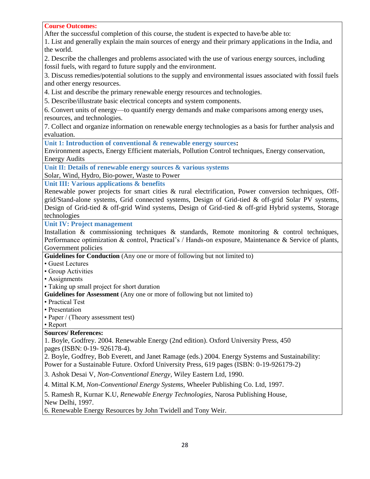**Course Outcomes:** 

After the successful completion of this course, the student is expected to have/be able to:

1. List and generally explain the main sources of energy and their primary applications in the India, and the world.

2. Describe the challenges and problems associated with the use of various energy sources, including fossil fuels, with regard to future supply and the environment.

3. Discuss remedies/potential solutions to the supply and environmental issues associated with fossil fuels and other energy resources.

4. List and describe the primary renewable energy resources and technologies.

5. Describe/illustrate basic electrical concepts and system components.

6. Convert units of energy—to quantify energy demands and make comparisons among energy uses, resources, and technologies.

7. Collect and organize information on renewable energy technologies as a basis for further analysis and evaluation.

**Unit 1: Introduction of conventional & renewable energy sources:** 

Environment aspects, Energy Efficient materials, Pollution Control techniques, Energy conservation, Energy Audits

Unit II: Details of renewable energy sources & various systems

Solar, Wind, Hydro, Bio-power, Waste to Power

**Unit III: Various applications & benefits** 

Renewable power projects for smart cities & rural electrification, Power conversion techniques, Offgrid/Stand-alone systems, Grid connected systems, Design of Grid-tied & off-grid Solar PV systems, Design of Grid-tied & off-grid Wind systems, Design of Grid-tied & off-grid Hybrid systems, Storage technologies

**Unit IV: Project management** 

Installation & commissioning techniques & standards, Remote monitoring  $\&$  control techniques, Performance optimization & control, Practical's / Hands-on exposure, Maintenance & Service of plants, Government policies

**Guidelines for Conduction** (Any one or more of following but not limited to)

• Guest Lectures

• Group Activities

• Assignments

• Taking up small project for short duration

**Guidelines for Assessment** (Any one or more of following but not limited to)

• Practical Test

• Presentation

• Paper / (Theory assessment test)

• Report

**Sources/ References:** 

1. Boyle, Godfrey. 2004. Renewable Energy (2nd edition). Oxford University Press, 450 pages (ISBN: 0-19- 926178-4).

2. Boyle, Godfrey, Bob Everett, and Janet Ramage (eds.) 2004. Energy Systems and Sustainability: Power for a Sustainable Future. Oxford University Press, 619 pages (ISBN: 0-19-926179-2)

3. Ashok Desai V, *Non-Conventional Energy,* Wiley Eastern Ltd, 1990.

4. Mittal K.M, *Non-Conventional Energy Systems,* Wheeler Publishing Co. Ltd, 1997.

5. Ramesh R, Kurnar K.U, *Renewable Energy Technologies,* Narosa Publishing House,

New Delhi, 1997.

6. Renewable Energy Resources by John Twidell and Tony Weir.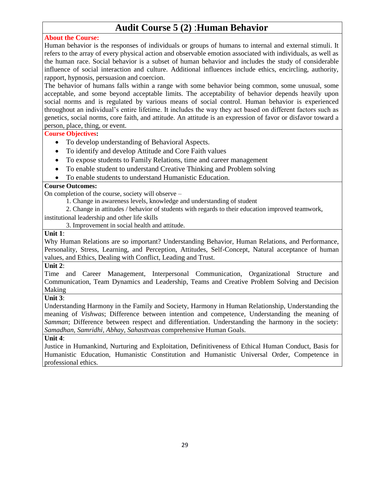# **Audit Course 5 (2)** :**Human Behavior**

#### **About the Course:**

Human behavior is the responses of individuals or groups of humans to internal and external stimuli. It refers to the array of every physical action and observable emotion associated with individuals, as well as the human race. Social behavior is a subset of human behavior and includes the study of considerable influence of social interaction and culture. Additional influences include ethics, encircling, authority, rapport, hypnosis, persuasion and coercion.

The behavior of humans falls within a range with some behavior being common, some unusual, some acceptable, and some beyond acceptable limits. The acceptability of behavior depends heavily upon social norms and is regulated by various means of social control. Human behavior is experienced throughout an individual's entire lifetime. It includes the way they act based on different factors such as genetics, social norms, core faith, and attitude. An attitude is an expression of favor or disfavor toward a person, place, thing, or event.

**Course Objectives:** 

- To develop understanding of Behavioral Aspects.
- To identify and develop Attitude and Core Faith values
- To expose students to Family Relations, time and career management
- To enable student to understand Creative Thinking and Problem solving
- To enable students to understand Humanistic Education.

#### **Course Outcomes:**

On completion of the course, society will observe –

- 1. Change in awareness levels, knowledge and understanding of student
- 2. Change in attitudes / behavior of students with regards to their education improved teamwork,

institutional leadership and other life skills

3. Improvement in social health and attitude.

#### **Unit 1**:

Why Human Relations are so important? Understanding Behavior, Human Relations, and Performance, Personality, Stress, Learning, and Perception, Attitudes, Self-Concept, Natural acceptance of human values, and Ethics, Dealing with Conflict, Leading and Trust.

#### **Unit 2**:

Time and Career Management, Interpersonal Communication, Organizational Structure and Communication, Team Dynamics and Leadership, Teams and Creative Problem Solving and Decision Making

#### **Unit 3**:

Understanding Harmony in the Family and Society, Harmony in Human Relationship, Understanding the meaning of *Vishwas*; Difference between intention and competence, Understanding the meaning of *Samman*; Difference between respect and differentiation. Understanding the harmony in the society: *Samadhan, Samridhi, Abhay, Sahasttva*as comprehensive Human Goals.

#### **Unit 4**:

Justice in Humankind, Nurturing and Exploitation, Definitiveness of Ethical Human Conduct, Basis for Humanistic Education, Humanistic Constitution and Humanistic Universal Order, Competence in professional ethics.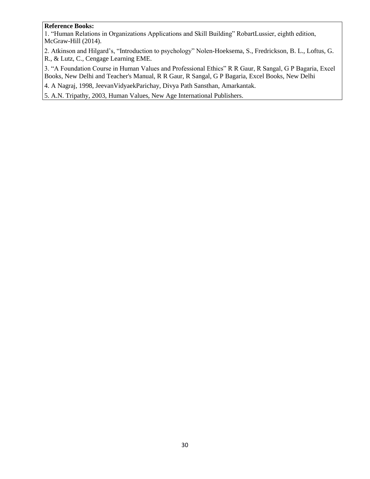#### **Reference Books:**

1. "Human Relations in Organizations Applications and Skill Building" RobartLussier, eighth edition, McGraw-Hill (2014).

2. Atkinson and Hilgard's, "Introduction to psychology" Nolen-Hoeksema, S., Fredrickson, B. L., Loftus, G. R., & Lutz, C., Cengage Learning EME.

3. "A Foundation Course in Human Values and Professional Ethics" R R Gaur, R Sangal, G P Bagaria, Excel Books, New Delhi and Teacher's Manual, R R Gaur, R Sangal, G P Bagaria, Excel Books, New Delhi

4. A Nagraj, 1998, JeevanVidyaekParichay, Divya Path Sansthan, Amarkantak.

5. A.N. Tripathy, 2003, Human Values, New Age International Publishers.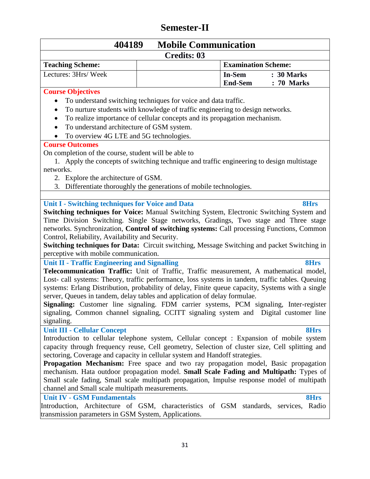# **Semester-II**

| 404189                                                                                                                                                                                                                                                                                                                                                                                                                                                                                                                                                                                                                                          | <b>Mobile Communication</b>                                                                                                                                                                                                  |                                 |                          |
|-------------------------------------------------------------------------------------------------------------------------------------------------------------------------------------------------------------------------------------------------------------------------------------------------------------------------------------------------------------------------------------------------------------------------------------------------------------------------------------------------------------------------------------------------------------------------------------------------------------------------------------------------|------------------------------------------------------------------------------------------------------------------------------------------------------------------------------------------------------------------------------|---------------------------------|--------------------------|
|                                                                                                                                                                                                                                                                                                                                                                                                                                                                                                                                                                                                                                                 | <b>Credits: 03</b>                                                                                                                                                                                                           |                                 |                          |
| <b>Teaching Scheme:</b>                                                                                                                                                                                                                                                                                                                                                                                                                                                                                                                                                                                                                         |                                                                                                                                                                                                                              | <b>Examination Scheme:</b>      |                          |
| Lectures: 3Hrs/ Week                                                                                                                                                                                                                                                                                                                                                                                                                                                                                                                                                                                                                            |                                                                                                                                                                                                                              | <b>In-Sem</b><br><b>End-Sem</b> | : 30 Marks<br>: 70 Marks |
| <b>Course Objectives</b>                                                                                                                                                                                                                                                                                                                                                                                                                                                                                                                                                                                                                        |                                                                                                                                                                                                                              |                                 |                          |
| $\bullet$<br>$\bullet$<br>To understand architecture of GSM system.<br>$\bullet$<br>To overview 4G LTE and 5G technologies.                                                                                                                                                                                                                                                                                                                                                                                                                                                                                                                     | To understand switching techniques for voice and data traffic.<br>To nurture students with knowledge of traffic engineering to design networks.<br>To realize importance of cellular concepts and its propagation mechanism. |                                 |                          |
| <b>Course Outcomes</b>                                                                                                                                                                                                                                                                                                                                                                                                                                                                                                                                                                                                                          |                                                                                                                                                                                                                              |                                 |                          |
| On completion of the course, student will be able to<br>networks.<br>2. Explore the architecture of GSM.                                                                                                                                                                                                                                                                                                                                                                                                                                                                                                                                        | 1. Apply the concepts of switching technique and traffic engineering to design multistage<br>3. Differentiate thoroughly the generations of mobile technologies.                                                             |                                 |                          |
|                                                                                                                                                                                                                                                                                                                                                                                                                                                                                                                                                                                                                                                 |                                                                                                                                                                                                                              |                                 |                          |
| <b>Unit I - Switching techniques for Voice and Data</b><br>Switching techniques for Voice: Manual Switching System, Electronic Switching System and<br>Time Division Switching. Single Stage networks, Gradings, Two stage and Three stage<br>networks. Synchronization, Control of switching systems: Call processing Functions, Common<br>Control, Reliability, Availability and Security.<br>Switching techniques for Data: Circuit switching, Message Switching and packet Switching in<br>perceptive with mobile communication.                                                                                                            |                                                                                                                                                                                                                              |                                 |                          |
| <b>Unit II - Traffic Engineering and Signalling</b><br>Telecommunication Traffic: Unit of Traffic, Traffic measurement, A mathematical model,<br>Lost- call systems: Theory, traffic performance, loss systems in tandem, traffic tables. Queuing<br>systems: Erlang Distribution, probability of delay, Finite queue capacity, Systems with a single<br>server, Queues in tandem, delay tables and application of delay formulae.<br>Signaling: Customer line signaling. FDM carrier systems, PCM signaling, Inter-register<br>signaling, Common channel signaling, CCITT signaling system and Digital customer line<br>signaling.             |                                                                                                                                                                                                                              |                                 | 8Hrs                     |
| <b>Unit III - Cellular Concept</b><br>Introduction to cellular telephone system, Cellular concept : Expansion of mobile system<br>capacity through frequency reuse, Cell geometry, Selection of cluster size, Cell splitting and<br>sectoring, Coverage and capacity in cellular system and Handoff strategies.<br>Propagation Mechanism: Free space and two ray propagation model, Basic propagation<br>mechanism. Hata outdoor propagation model. Small Scale Fading and Multipath: Types of<br>Small scale fading, Small scale multipath propagation, Impulse response model of multipath<br>channel and Small scale multipath measurements. |                                                                                                                                                                                                                              |                                 | 8Hrs                     |
| <b>Unit IV - GSM Fundamentals</b><br>Introduction, Architecture of GSM, characteristics of GSM standards, services,                                                                                                                                                                                                                                                                                                                                                                                                                                                                                                                             |                                                                                                                                                                                                                              |                                 | <b>8Hrs</b><br>Radio     |

transmission parameters in GSM System, Applications.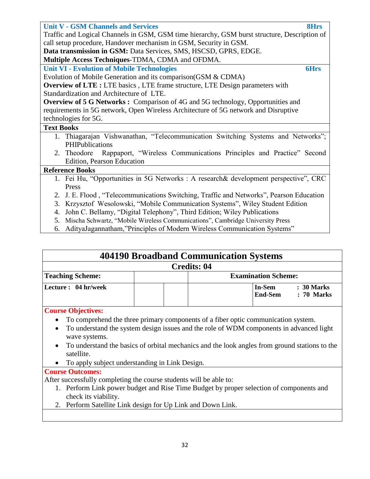| <b>Unit V - GSM Channels and Services</b><br>8Hrs                                            |
|----------------------------------------------------------------------------------------------|
| Traffic and Logical Channels in GSM, GSM time hierarchy, GSM burst structure, Description of |
| call setup procedure, Handover mechanism in GSM, Security in GSM.                            |
| Data transmission in GSM: Data Services, SMS, HSCSD, GPRS, EDGE.                             |
| Multiple Access Techniques-TDMA, CDMA and OFDMA.                                             |
| <b>Unit VI - Evolution of Mobile Technologies</b><br><b>6Hrs</b>                             |
| Evolution of Mobile Generation and its comparison (GSM & CDMA)                               |
| <b>Overview of LTE:</b> LTE basics, LTE frame structure, LTE Design parameters with          |
| Standardization and Architecture of LTE.                                                     |
| <b>Overview of 5 G Networks:</b> Comparison of 4G and 5G technology, Opportunities and       |
| requirements in 5G network, Open Wireless Architecture of 5G network and Disruptive          |
| technologies for 5G.                                                                         |
| <b>Text Books</b>                                                                            |
| Thiagarajan Vishwanathan, "Telecommunication Switching Systems and Networks";<br>1.          |
| PHIPublications                                                                              |
| Rappaport, "Wireless Communications Principles and Practice" Second<br>2. Theodore           |
| Edition, Pearson Education                                                                   |
| <b>Reference Books</b>                                                                       |
| 1. Fei Hu, "Opportunities in 5G Networks : A research & development perspective", CRC        |
| Press                                                                                        |
| J. E. Flood, "Telecommunications Switching, Traffic and Networks", Pearson Education<br>2.   |
| Krzysztof Wesolowski, "Mobile Communication Systems", Wiley Student Edition<br>3.            |
| John C. Bellamy, "Digital Telephony", Third Edition; Wiley Publications<br>4.                |
| 5. Mischa Schwartz, "Mobile Wireless Communications", Cambridge University Press             |

6. AdityaJagannatham, "Principles of Modern Wireless Communication Systems"

| <b>404190 Broadband Communication Systems</b> |  |                    |                            |                              |
|-----------------------------------------------|--|--------------------|----------------------------|------------------------------|
|                                               |  | <b>Credits: 04</b> |                            |                              |
| <b>Teaching Scheme:</b>                       |  |                    | <b>Examination Scheme:</b> |                              |
| Lecture : 04 hr/week                          |  |                    | In-Sem<br><b>End-Sem</b>   | $: 30$ Marks<br>$: 70$ Marks |

#### **Course Objectives:**

- To comprehend the three primary components of a fiber optic communication system.
- To understand the system design issues and the role of WDM components in advanced light wave systems.
- To understand the basics of orbital mechanics and the look angles from ground stations to the satellite.
- To apply subject understanding in Link Design.

#### **Course Outcomes:**

After successfully completing the course students will be able to:

- 1. Perform Link power budget and Rise Time Budget by proper selection of components and check its viability.
- 2. Perform Satellite Link design for Up Link and Down Link.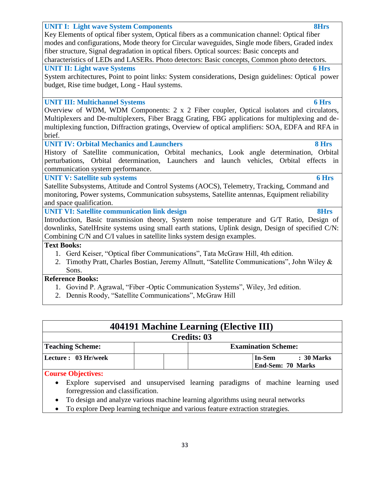| modes and configurations, Mode theory for Circular waveguides, Single mode fibers, Graded index     |
|-----------------------------------------------------------------------------------------------------|
| fiber structure, Signal degradation in optical fibers. Optical sources: Basic concepts and          |
| characteristics of LEDs and LASERs. Photo detectors: Basic concepts, Common photo detectors.        |
| <b>UNIT II: Light wave Systems</b><br><b>6 Hrs</b>                                                  |
| System architectures, Point to point links: System considerations, Design guidelines: Optical power |
| budget, Rise time budget, Long - Haul systems.                                                      |
|                                                                                                     |
| <b>UNIT III: Multichannel Systems</b><br><b>6 Hrs</b>                                               |
| Overview of WDM, WDM Components: 2 x 2 Fiber coupler, Optical isolators and circulators,            |
| Multiplexers and De-multiplexers, Fiber Bragg Grating, FBG applications for multiplexing and de-    |
| multiplexing function, Diffraction gratings, Overview of optical amplifiers: SOA, EDFA and RFA in   |
| brief.                                                                                              |
| <b>UNIT IV: Orbital Mechanics and Launchers</b><br>8 Hrs                                            |
| History of Satellite communication, Orbital mechanics, Look angle determination, Orbital            |
| perturbations, Orbital determination, Launchers and launch vehicles, Orbital effects<br>in          |
| communication system performance.                                                                   |
|                                                                                                     |
| <b>UNIT V: Satellite sub systems</b><br><b>6 Hrs</b>                                                |
| Satellite Subsystems, Attitude and Control Systems (AOCS), Telemetry, Tracking, Command and         |
| monitoring, Power systems, Communication subsystems, Satellite antennas, Equipment reliability      |
| and space qualification.                                                                            |
| <b>UNIT VI: Satellite communication link design</b><br><b>8Hrs</b>                                  |
| Introduction, Basic transmission theory, System noise temperature and G/T Ratio, Design of          |
| downlinks, SatelHrsite systems using small earth stations, Uplink design, Design of specified C/N:  |
| Combining C/N and C/I values in satellite links system design examples.                             |
| <b>Text Books:</b>                                                                                  |
| 1. Gerd Keiser, "Optical fiber Communications", Tata McGraw Hill, 4th edition.                      |
| 2. Timothy Pratt, Charles Bostian, Jeremy Allnutt, "Satellite Communications", John Wiley &         |
| Sons.                                                                                               |
| <b>Reference Books:</b>                                                                             |
| 1. Govind P. Agrawal, "Fiber -Optic Communication Systems", Wiley, 3rd edition.                     |
| 2. Dennis Roody, "Satellite Communications", McGraw Hill                                            |

| 404191 Machine Learning (Elective III) |  |                                                  |  |
|----------------------------------------|--|--------------------------------------------------|--|
| <b>Credits: 03</b>                     |  |                                                  |  |
| <b>Teaching Scheme:</b>                |  | <b>Examination Scheme:</b>                       |  |
| Lecture : 03 Hr/week                   |  | <b>In-Sem</b><br>: 30 Marks<br>End-Sem: 70 Marks |  |
| <b>Course Objectives:</b>              |  |                                                  |  |

### Explore supervised and unsupervised learning paradigms of machine learning used forregression and classification.

- To design and analyze various machine learning algorithms using neural networks
- To explore Deep learning technique and various feature extraction strategies.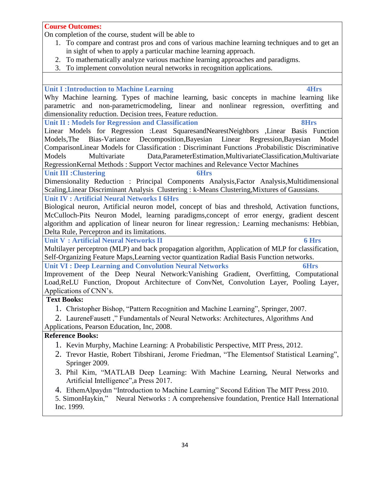**Course Outcomes:**

On completion of the course, student will be able to

- 1. To compare and contrast pros and cons of various machine learning techniques and to get an in sight of when to apply a particular machine learning approach.
- 2. To mathematically analyze various machine learning approaches and paradigms.
- 3. To implement convolution neural networks in recognition applications.

**Unit I :Introduction to Machine Learning 4Hrs** Why Machine learning. Types of machine learning, basic concepts in machine learning like parametric and non-parametricmodeling, linear and nonlinear regression, overfitting and dimensionality reduction. Decision trees, Feature reduction. **Unit II : Models for Regression and Classification 8Hrs**

Linear Models for Regression :Least SquaresandNearestNeighbors ,Linear Basis Function Models,The Bias-Variance Decomposition,Bayesian Linear Regression,Bayesian Model ComparisonLinear Models for Classification : Discriminant Functions .Probabilistic Discriminative Models Multivariate Data,ParameterEstimation,MultivariateClassification,Multivariate RegressionKernal Methods : Support Vector machines and Relevance Vector Machines

Unit III : Clustering 6Hrs

Dimensionality Reduction : Principal Components Analysis,Factor Analysis,Multidimensional Scaling,Linear Discriminant Analysis Clustering : k-Means Clustering,Mixtures of Gaussians.

**Unit IV : Artificial Neural Networks I 6Hrs**

Biological neuron, Artificial neuron model, concept of bias and threshold, Activation functions, McCulloch-Pits Neuron Model, learning paradigms,concept of error energy, gradient descent algorithm and application of linear neuron for linear regression,: Learning mechanisms: Hebbian, Delta Rule, Perceptron and its limitations.

**Unit V : Artificial Neural Networks II** 6 **Hrs** 

Multilayer perceptron (MLP) and back propagation algorithm, Application of MLP for classification, Self-Organizing Feature Maps,Learning vector quantization Radial Basis Function networks.

**Unit VI : Deep Learning and Convolution Neural Networks 6Hrs** 

Improvement of the Deep Neural Network:Vanishing Gradient, Overfitting, Computational Load,ReLU Function, Dropout Architecture of ConvNet, Convolution Layer, Pooling Layer, Applications of CNN's.

#### **Text Books:**

- 1. Christopher Bishop, "Pattern Recognition and Machine Learning", Springer, 2007.
- 2. LaureneFausett," Fundamentals of Neural Networks: Architectures, Algorithms And

Applications, Pearson Education, Inc, 2008.

#### **Reference Books:**

- 1. Kevin Murphy, Machine Learning: A Probabilistic Perspective, MIT Press, 2012.
- 2. Trevor Hastie, Robert Tibshirani, Jerome Friedman, "The Elementsof Statistical Learning", Springer 2009.
- 3. Phil Kim, "MATLAB Deep Learning: With Machine Learning, Neural Networks and Artificial Intelligence", a Press 2017.
- 4. EthemAlpaydin "Introduction to Machine Learning" Second Edition The MIT Press 2010.

5. SimonHaykin,‖ Neural Networks : A comprehensive foundation, Prentice Hall International Inc. 1999.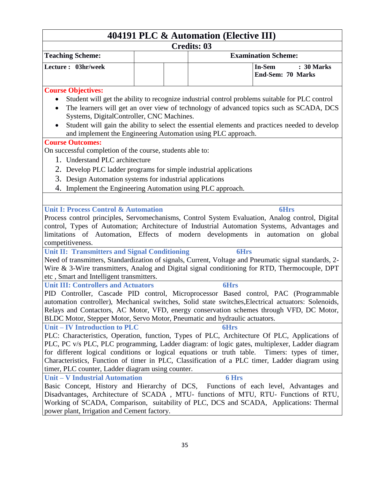### **404191 PLC & Automation (Elective III) Credits: 03 Teaching Scheme: Examination Scheme: Lecture : 03hr/week In-Sem : 30 Marks End-Sem: 70 Marks Course Objectives:** Student will get the ability to recognize industrial control problems suitable for PLC control • The learners will get an over view of technology of advanced topics such as SCADA, DCS Systems, DigitalController, CNC Machines. Student will gain the ability to select the essential elements and practices needed to develop and implement the Engineering Automation using PLC approach. **Course Outcomes:** On successful completion of the course, students able to: 1. Understand PLC architecture 2. Develop PLC ladder programs for simple industrial applications 3. Design Automation systems for industrial applications 4. Implement the Engineering Automation using PLC approach. **Unit I: Process Control & Automation 6Hrs** Process control principles, Servomechanisms, Control System Evaluation, Analog control, Digital control, Types of Automation; Architecture of Industrial Automation Systems, Advantages and limitations of Automation, Effects of modern developments in automation on global competitiveness. **Unit II: Transmitters and Signal Conditioning 6Hrs** Need of transmitters, Standardization of signals, Current, Voltage and Pneumatic signal standards, 2- Wire & 3-Wire transmitters, Analog and Digital signal conditioning for RTD, Thermocouple, DPT etc , Smart and Intelligent transmitters. **Unit III: Controllers and Actuators 6Hrs** PID Controller, Cascade PID control, Microprocessor Based control, PAC (Programmable automation controller), Mechanical switches, Solid state switches,Electrical actuators: Solenoids, Relays and Contactors, AC Motor, VFD, energy conservation schemes through VFD, DC Motor, BLDC Motor, Stepper Motor, Servo Motor, Pneumatic and hydraulic actuators. **Unit – IV Introduction to PLC 6Hrs** PLC: Characteristics, Operation, function, Types of PLC, Architecture Of PLC, Applications of PLC, PC v/s PLC, PLC programming, Ladder diagram: of logic gates, multiplexer, Ladder diagram for different logical conditions or logical equations or truth table. Timers: types of timer, Characteristics, Function of timer in PLC, Classification of a PLC timer, Ladder diagram using timer, PLC counter, Ladder diagram using counter. **Unit – V Industrial Automation 6 Hrs** Basic Concept, History and Hierarchy of DCS, Functions of each level, Advantages and Disadvantages, Architecture of SCADA , MTU- functions of MTU, RTU- Functions of RTU, Working of SCADA, Comparison, suitability of PLC, DCS and SCADA, Applications: Thermal power plant, Irrigation and Cement factory.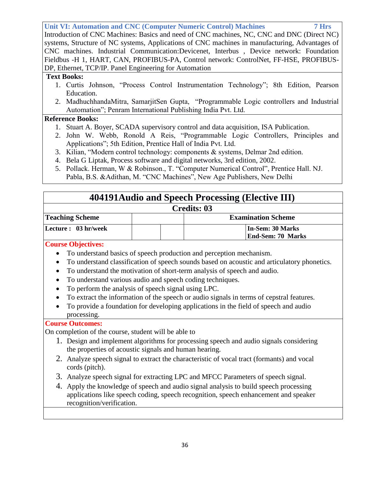**Unit VI: Automation and CNC (Computer Numeric Control) Machines 7 Hrs**

Introduction of CNC Machines: Basics and need of CNC machines, NC, CNC and DNC (Direct NC) systems, Structure of NC systems, Applications of CNC machines in manufacturing, Advantages of CNC machines. Industrial Communication:Devicenet, Interbus , Device network: Foundation Fieldbus -H 1, HART, CAN, PROFIBUS-PA, Control network: ControlNet, FF-HSE, PROFIBUS-DP, Ethernet, TCP/IP. Panel Engineering for Automation

#### **Text Books:**

- 1. Curtis Johnson, "Process Control Instrumentation Technology"; 8th Edition, Pearson Education.
- 2. MadhuchhandaMitra, SamarjitSen Gupta, "Programmable Logic controllers and Industrial Automation"; Penram International Publishing India Pvt. Ltd.

#### **Reference Books:**

- 1. Stuart A. Boyer, SCADA supervisory control and data acquisition, ISA Publication.
- 2. John W. Webb, Ronold A Reis, "Programmable Logic Controllers, Principles and Applications"; 5th Edition, Prentice Hall of India Pvt. Ltd.
- 3. Kilian, "Modern control technology: components & systems, Delmar 2nd edition.
- 4. Bela G Liptak, Process software and digital networks, 3rd edition, 2002.
- 5. Pollack. Herman, W & Robinson., T. "Computer Numerical Control", Prentice Hall. NJ. Pabla, B.S. &Adithan, M. "CNC Machines", New Age Publishers, New Delhi

# **404191Audio and Speech Processing (Elective III)**

# **Credits: 03**

| <b>Teaching Scheme</b> |  | <b>Examination Scheme</b>                    |  |
|------------------------|--|----------------------------------------------|--|
| Lecture : 03 hr/week   |  | In-Sem: 30 Marks<br><b>End-Sem: 70 Marks</b> |  |

#### **Course Objectives:**

- To understand basics of speech production and perception mechanism.
- To understand classification of speech sounds based on acoustic and articulatory phonetics.
- To understand the motivation of short-term analysis of speech and audio.
- To understand various audio and speech coding techniques.
- To perform the analysis of speech signal using LPC.
- To extract the information of the speech or audio signals in terms of cepstral features.
- To provide a foundation for developing applications in the field of speech and audio processing.

#### **Course Outcomes:**

On completion of the course, student will be able to

- 1. Design and implement algorithms for processing speech and audio signals considering the properties of acoustic signals and human hearing.
- 2. Analyze speech signal to extract the characteristic of vocal tract (formants) and vocal cords (pitch).
- 3. Analyze speech signal for extracting LPC and MFCC Parameters of speech signal.
- 4. Apply the knowledge of speech and audio signal analysis to build speech processing applications like speech coding, speech recognition, speech enhancement and speaker recognition/verification.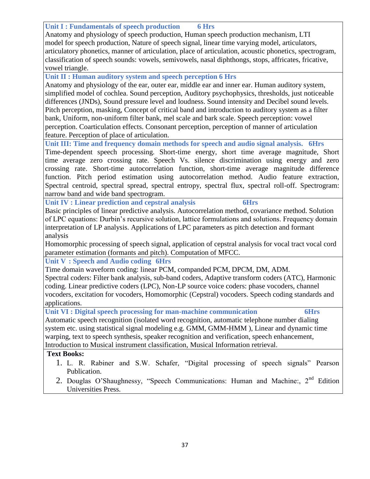| Unit I : Fundamentals of speech production<br><b>6 Hrs</b>                                              |
|---------------------------------------------------------------------------------------------------------|
| Anatomy and physiology of speech production, Human speech production mechanism, LTI                     |
| model for speech production, Nature of speech signal, linear time varying model, articulators,          |
| articulatory phonetics, manner of articulation, place of articulation, acoustic phonetics, spectrogram, |
| classification of speech sounds: vowels, semivowels, nasal diphthongs, stops, affricates, fricative,    |
| vowel triangle.                                                                                         |
| Unit II : Human auditory system and speech perception 6 Hrs                                             |
| Anatomy and physiology of the ear, outer ear, middle ear and inner ear. Human auditory system,          |
| simplified model of cochlea. Sound perception, Auditory psychophysics, thresholds, just noticeable      |
| differences (JNDs), Sound pressure level and loudness. Sound intensity and Decibel sound levels.        |
| Pitch perception, masking, Concept of critical band and introduction to auditory system as a filter     |
| bank, Uniform, non-uniform filter bank, mel scale and bark scale. Speech perception: vowel              |
| perception. Coarticulation effects. Consonant perception, perception of manner of articulation          |
| feature. Perception of place of articulation.                                                           |
| Unit III: Time and frequency domain methods for speech and audio signal analysis. 6Hrs                  |
| Time-dependent speech processing. Short-time energy, short time average magnitude, Short                |
| time average zero crossing rate. Speech Vs. silence discrimination using energy and zero                |
| crossing rate. Short-time autocorrelation function, short-time average magnitude difference             |
| function. Pitch period estimation using autocorrelation method. Audio feature extraction,               |
| Spectral centroid, spectral spread, spectral entropy, spectral flux, spectral roll-off. Spectrogram:    |
| narrow band and wide band spectrogram.                                                                  |
| Unit IV : Linear prediction and cepstral analysis<br><b>6Hrs</b>                                        |
| Basic principles of linear predictive analysis. Autocorrelation method, covariance method. Solution     |
| of LPC equations: Durbin's recursive solution, lattice formulations and solutions. Frequency domain     |
| interpretation of LP analysis. Applications of LPC parameters as pitch detection and formant            |
| analysis                                                                                                |
| Homomorphic processing of speech signal, application of cepstral analysis for vocal tract vocal cord    |
| parameter estimation (formants and pitch). Computation of MFCC.                                         |
| Unit V: Speech and Audio coding 6Hrs                                                                    |
| Time domain waveform coding: linear PCM, companded PCM, DPCM, DM, ADM.                                  |
| Spectral coders: Filter bank analysis, sub-band coders, Adaptive transform coders (ATC), Harmonic       |
| coding. Linear predictive coders (LPC), Non-LP source voice coders: phase vocoders, channel             |
| vocoders, excitation for vocoders, Homomorphic (Cepstral) vocoders. Speech coding standards and         |
| applications.                                                                                           |
| Unit VI : Digital speech processing for man-machine communication<br><b>6Hrs</b>                        |
| Automatic speech recognition (isolated word recognition, automatic telephone number dialing             |
| system etc. using statistical signal modeling e.g. GMM, GMM-HMM), Linear and dynamic time               |
| warping, text to speech synthesis, speaker recognition and verification, speech enhancement,            |
| Introduction to Musical instrument classification, Musical Information retrieval.<br><b>Text Books:</b> |
|                                                                                                         |
| 1. L. R. Rabiner and S.W. Schafer, "Digital processing of speech signals" Pearson<br>Publication.       |
| Douglas O'Shoughnossy "Speech Communications: Human and Machina: 2 <sup>nd</sup> Edition                |

2. Douglas O'Shaughnessy, "Speech Communications: Human and Machine:, 2<sup>nd</sup> Edition Universities Press.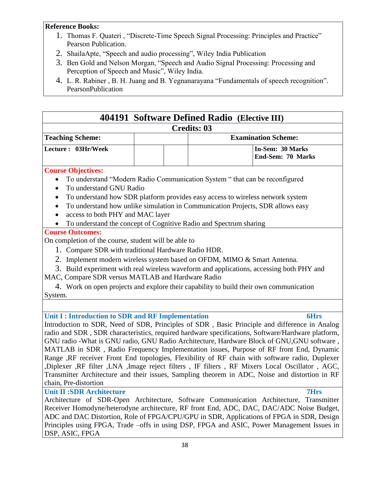#### **Reference Books:**

- 1. Thomas F. Quateri, "Discrete-Time Speech Signal Processing: Principles and Practice" Pearson Publication.
- 2. ShailaApte, "Speech and audio processing", Wiley India Publication
- 3. Ben Gold and Nelson Morgan, "Speech and Audio Signal Processing: Processing and Perception of Speech and Music", Wiley India.
- 4. L. R. Rabiner, B. H. Juang and B. Yegnanarayana "Fundamentals of speech recognition". PearsonPublication

| 404191 Software Defined Radio (Elective III)                                                                                                                                             |                                                                                                                                               |  |                    |                                       |  |
|------------------------------------------------------------------------------------------------------------------------------------------------------------------------------------------|-----------------------------------------------------------------------------------------------------------------------------------------------|--|--------------------|---------------------------------------|--|
|                                                                                                                                                                                          |                                                                                                                                               |  | <b>Credits: 03</b> |                                       |  |
| <b>Teaching Scheme:</b>                                                                                                                                                                  | <b>Examination Scheme:</b>                                                                                                                    |  |                    |                                       |  |
| Lecture: 03Hr/Week                                                                                                                                                                       |                                                                                                                                               |  |                    | In-Sem: 30 Marks<br>End-Sem: 70 Marks |  |
| <b>Course Objectives:</b>                                                                                                                                                                |                                                                                                                                               |  |                    |                                       |  |
| To understand "Modern Radio Communication System" that can be reconfigured<br>To understand GNU Radio                                                                                    |                                                                                                                                               |  |                    |                                       |  |
| To understand how SDR platform provides easy access to wireless network system                                                                                                           |                                                                                                                                               |  |                    |                                       |  |
| To understand how unlike simulation in Communication Projects, SDR allows easy                                                                                                           |                                                                                                                                               |  |                    |                                       |  |
| access to both PHY and MAC layer                                                                                                                                                         |                                                                                                                                               |  |                    |                                       |  |
| To understand the concept of Cognitive Radio and Spectrum sharing                                                                                                                        |                                                                                                                                               |  |                    |                                       |  |
| <b>Course Outcomes:</b>                                                                                                                                                                  |                                                                                                                                               |  |                    |                                       |  |
| On completion of the course, student will be able to                                                                                                                                     |                                                                                                                                               |  |                    |                                       |  |
| 1. Compare SDR with traditional Hardware Radio HDR.                                                                                                                                      |                                                                                                                                               |  |                    |                                       |  |
| 2. Implement modern wireless system based on OFDM, MIMO & Smart Antenna.                                                                                                                 |                                                                                                                                               |  |                    |                                       |  |
|                                                                                                                                                                                          |                                                                                                                                               |  |                    |                                       |  |
|                                                                                                                                                                                          | 3. Build experiment with real wireless waveform and applications, accessing both PHY and<br>MAC, Compare SDR versus MATLAB and Hardware Radio |  |                    |                                       |  |
| 4. Work on open projects and explore their capability to build their own communication                                                                                                   |                                                                                                                                               |  |                    |                                       |  |
|                                                                                                                                                                                          |                                                                                                                                               |  |                    |                                       |  |
| System.                                                                                                                                                                                  |                                                                                                                                               |  |                    |                                       |  |
|                                                                                                                                                                                          |                                                                                                                                               |  |                    |                                       |  |
| Unit I : Introduction to SDR and RF Implementation                                                                                                                                       |                                                                                                                                               |  |                    | <b>6Hrs</b>                           |  |
| Introduction to SDR, Need of SDR, Principles of SDR, Basic Principle and difference in Analog                                                                                            |                                                                                                                                               |  |                    |                                       |  |
| radio and SDR, SDR characteristics, required hardware specifications, Software/Hardware platform,                                                                                        |                                                                                                                                               |  |                    |                                       |  |
| GNU radio - What is GNU radio, GNU Radio Architecture, Hardware Block of GNU, GNU software,                                                                                              |                                                                                                                                               |  |                    |                                       |  |
| MATLAB in SDR, Radio Frequency Implementation issues, Purpose of RF front End, Dynamic<br>Range ,RF receiver Front End topologies, Flexibility of RF chain with software radio, Duplexer |                                                                                                                                               |  |                    |                                       |  |
| ,Diplexer ,RF filter ,LNA ,Image reject filters , IF filters , RF Mixers Local Oscillator , AGC,                                                                                         |                                                                                                                                               |  |                    |                                       |  |
| Transmitter Architecture and their issues, Sampling theorem in ADC, Noise and distortion in RF                                                                                           |                                                                                                                                               |  |                    |                                       |  |
| chain, Pre-distortion                                                                                                                                                                    |                                                                                                                                               |  |                    |                                       |  |
| <b>Unit II:SDR Architecture</b>                                                                                                                                                          |                                                                                                                                               |  |                    | 7Hrs                                  |  |
| Architecture of SDR-Open Architecture, Software Communication Architecture,<br>Transmitter                                                                                               |                                                                                                                                               |  |                    |                                       |  |
| Receiver Homodyne/heterodyne architecture, RF front End, ADC, DAC, DAC/ADC Noise Budget,                                                                                                 |                                                                                                                                               |  |                    |                                       |  |
| ADC and DAC Distortion, Role of FPGA/CPU/GPU in SDR, Applications of FPGA in SDR, Design                                                                                                 |                                                                                                                                               |  |                    |                                       |  |
| Principles using FPGA, Trade -offs in using DSP, FPGA and ASIC, Power Management Issues in                                                                                               |                                                                                                                                               |  |                    |                                       |  |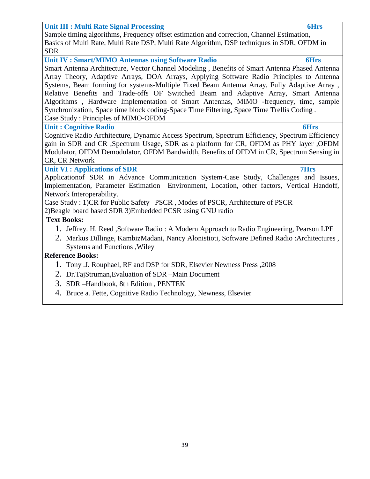| <b>Unit III : Multi Rate Signal Processing</b>                                                  | <b>6Hrs</b> |
|-------------------------------------------------------------------------------------------------|-------------|
| Sample timing algorithms, Frequency offset estimation and correction, Channel Estimation,       |             |
| Basics of Multi Rate, Multi Rate DSP, Multi Rate Algorithm, DSP techniques in SDR, OFDM in      |             |
| <b>SDR</b>                                                                                      |             |
| <b>Unit IV: Smart/MIMO Antennas using Software Radio</b>                                        | <b>6Hrs</b> |
| Smart Antenna Architecture, Vector Channel Modeling, Benefits of Smart Antenna Phased Antenna   |             |
| Array Theory, Adaptive Arrays, DOA Arrays, Applying Software Radio Principles to Antenna        |             |
| Systems, Beam forming for systems-Multiple Fixed Beam Antenna Array, Fully Adaptive Array,      |             |
| Relative Benefits and Trade-offs OF Switched Beam and Adaptive Array, Smart Antenna             |             |
| Algorithms, Hardware Implementation of Smart Antennas, MIMO -frequency, time, sample            |             |
| Synchronization, Space time block coding-Space Time Filtering, Space Time Trellis Coding.       |             |
| Case Study: Principles of MIMO-OFDM                                                             |             |
| <b>Unit: Cognitive Radio</b>                                                                    | <b>6Hrs</b> |
| Cognitive Radio Architecture, Dynamic Access Spectrum, Spectrum Efficiency, Spectrum Efficiency |             |
| gain in SDR and CR ,Spectrum Usage, SDR as a platform for CR, OFDM as PHY layer ,OFDM           |             |
| Modulator, OFDM Demodulator, OFDM Bandwidth, Benefits of OFDM in CR, Spectrum Sensing in        |             |
| CR, CR Network                                                                                  |             |
| <b>Unit VI: Applications of SDR</b>                                                             | <b>7Hrs</b> |
| Application of SDR in Advance Communication System-Case Study, Challenges and Issues,           |             |
| Implementation, Parameter Estimation -Environment, Location, other factors, Vertical Handoff,   |             |
| Network Interoperability.                                                                       |             |
| Case Study: 1)CR for Public Safety -PSCR, Modes of PSCR, Architecture of PSCR                   |             |
| 2) Beagle board based SDR 3) Embedded PCSR using GNU radio                                      |             |
| <b>Text Books:</b>                                                                              |             |
| 1. Jeffrey. H. Reed , Software Radio: A Modern Approach to Radio Engineering, Pearson LPE       |             |
| 2. Markus Dillinge, KambizMadani, Nancy Alonistioti, Software Defined Radio: Architectures,     |             |
| Systems and Functions , Wiley                                                                   |             |
| <b>Reference Books:</b>                                                                         |             |
|                                                                                                 |             |
| 1. Tony J. Rouphael, RF and DSP for SDR, Elsevier Newness Press, 2008                           |             |
| 2. Dr.TajStruman, Evaluation of SDR -Main Document                                              |             |
| 3. SDR-Handbook, 8th Edition, PENTEK                                                            |             |
| Bruce a. Fette, Cognitive Radio Technology, Newness, Elsevier<br>4.                             |             |
|                                                                                                 |             |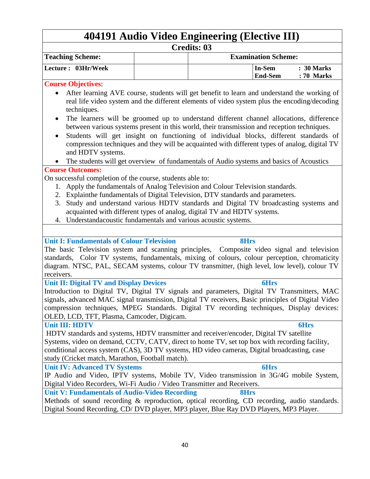# **404191 Audio Video Engineering (Elective III)**

#### **Credits: 03**

| <b>Teaching Scheme:</b> | <b>Examination Scheme:</b>   |
|-------------------------|------------------------------|
| Lecture: 03Hr/Week      | $: 30$ Marks<br>In-Sem       |
|                         | <b>End-Sem</b><br>: 70 Marks |

#### **Course Objectives**:

- After learning AVE course, students will get benefit to learn and understand the working of real life video system and the different elements of video system plus the encoding/decoding techniques.
- The learners will be groomed up to understand different channel allocations, difference between various systems present in this world, their transmission and reception techniques.
- Students will get insight on functioning of individual blocks, different standards of compression techniques and they will be acquainted with different types of analog, digital TV and HDTV systems.
- The students will get overview of fundamentals of Audio systems and basics of Acoustics

#### **Course Outcomes:**

On successful completion of the course, students able to:

- 1. Apply the fundamentals of Analog Television and Colour Television standards.
- 2. Explainthe fundamentals of Digital Television, DTV standards and parameters.
- 3. Study and understand various HDTV standards and Digital TV broadcasting systems and acquainted with different types of analog, digital TV and HDTV systems.
- 4. Understandacoustic fundamentals and various acoustic systems.

#### **Unit I: Fundamentals of Colour Television 8Hrs**

The basic Television system and scanning principles, Composite video signal and television standards, Color TV systems, fundamentals, mixing of colours, colour perception, chromaticity diagram. NTSC, PAL, SECAM systems, colour TV transmitter, (high level, low level), colour TV receivers.

#### **Unit II: Digital TV and Display Devices 6Hrs**

Introduction to Digital TV, Digital TV signals and parameters, Digital TV Transmitters, MAC signals, advanced MAC signal transmission, Digital TV receivers, Basic principles of Digital Video compression techniques, MPEG Standards. Digital TV recording techniques, Display devices: OLED, LCD, TFT, Plasma, Camcoder, Digicam.

# **Unit III: HDTV 6Hrs** HDTV standards and systems, HDTV transmitter and receiver/encoder, Digital TV satellite

Systems, video on demand, CCTV, CATV, direct to home TV, set top box with recording facility, conditional access system (CAS), 3D TV systems, HD video cameras, Digital broadcasting, case study (Cricket match, Marathon, Football match).

### **Unit IV: Advanced TV Systems 6Hrs** IP Audio and Video, IPTV systems, Mobile TV, Video transmission in 3G/4G mobile System, Digital Video Recorders, Wi-Fi Audio / Video Transmitter and Receivers. **Unit V: Fundamentals of Audio-Video Recording 8Hrs**

Methods of sound recording & reproduction, optical recording, CD recording, audio standards. Digital Sound Recording, CD/ DVD player, MP3 player, Blue Ray DVD Players, MP3 Player.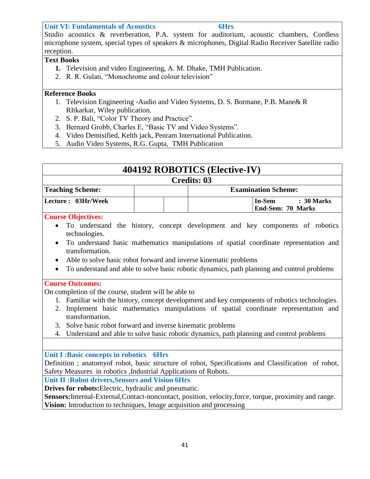#### **Unit VI: Fundamentals of Acoustics 6Hrs**

Studio acoustics & reverberation, P.A. system for auditorium, acoustic chambers, Cordless microphone system, special types of speakers & microphones, Digital Radio Receiver Satellite radio reception.

### **Text Books**

- **1.** Television and video Engineering, A. M. Dhake, TMH Publication.
- 2. R. R. Gulati, "Monochrome and colour television"

#### **Reference Books**

- 1. Television Engineering -Audio and Video Systems, D. S. Bormane, P.B. Mane& R RItkarkar, Wiley publication.
- 2. S. P. Bali, "Color TV Theory and Practice".
- 3. Bernard Grobb, Charles E, "Basic TV and Video Systems".
- 4. Video Demisified, Kelth jack, Penram International Publication.
- 5. Audio Video Systems, R.G. Gupta, TMH Publication

| 404192 ROBOTICS (Elective-IV)                         |  |                                                  |  |  |
|-------------------------------------------------------|--|--------------------------------------------------|--|--|
| <b>Credits: 03</b>                                    |  |                                                  |  |  |
| <b>Teaching Scheme:</b><br><b>Examination Scheme:</b> |  |                                                  |  |  |
| Lecture : 03Hr/Week                                   |  | In-Sem<br>: 30 Marks<br><b>End-Sem: 70 Marks</b> |  |  |

#### **Course Objectives:**

- To understand the history, concept development and key components of robotics technologies.
- To understand basic mathematics manipulations of spatial coordinate representation and transformation.
- Able to solve basic robot forward and inverse kinematic problems
- To understand and able to solve basic robotic dynamics, path planning and control problems

#### **Course Outcomes:**

On completion of the course, student will be able to

- 1. Familiar with the history, concept development and key components of robotics technologies.
- 2. Implement basic mathematics manipulations of spatial coordinate representation and transformation.
- 3. Solve basic robot forward and inverse kinematic problems
- 4. Understand and able to solve basic robotic dynamics, path planning and control problems

#### **Unit I :Basic concepts in robotics 6Hrs**

Definition ; anatomyof robot, basic structure of robot, Specifications and Classification of robot, Safety Measures in robotics ,Industrial Applications of Robots.

**Unit II :Robot drivers,Sensors and Vision 6Hrs**

**Drives for robots:**Electric, hydraulic and pneumatic.

**Sensors:**Internal-External,Contact-noncontact, position, velocity,force, torque, proximity and range. **Vision:** Introduction to techniques, Image acquisition and processing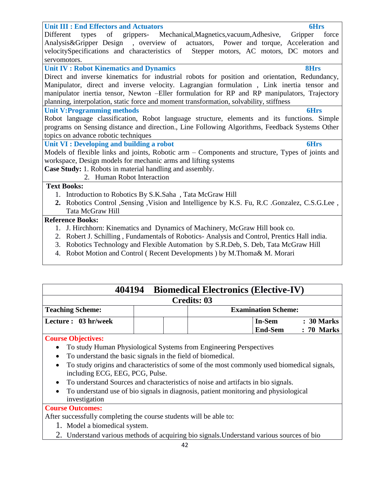| <b>Unit III : End Effectors and Actuators</b><br><b>6Hrs</b>                                     |  |  |  |  |
|--------------------------------------------------------------------------------------------------|--|--|--|--|
| of grippers- Mechanical, Magnetics, vacuum, Adhesive,<br>force<br>Different<br>types<br>Gripper  |  |  |  |  |
| Analysis&Gripper Design, overview of actuators, Power and torque, Acceleration and               |  |  |  |  |
| velocitySpecifications and characteristics of Stepper motors, AC motors, DC motors and           |  |  |  |  |
| servomotors.                                                                                     |  |  |  |  |
| <b>Unit IV: Robot Kinematics and Dynamics</b><br>8Hrs                                            |  |  |  |  |
| Direct and inverse kinematics for industrial robots for position and orientation, Redundancy,    |  |  |  |  |
| Manipulator, direct and inverse velocity. Lagrangian formulation, Link inertia tensor and        |  |  |  |  |
| manipulator inertia tensor, Newton -Eller formulation for RP and RP manipulators, Trajectory     |  |  |  |  |
| planning, interpolation, static force and moment transformation, solvability, stiffness          |  |  |  |  |
| <b>Unit V:Programming methods</b><br><b>6Hrs</b>                                                 |  |  |  |  |
| Robot language classification, Robot language structure, elements and its functions. Simple      |  |  |  |  |
| programs on Sensing distance and direction., Line Following Algorithms, Feedback Systems Other   |  |  |  |  |
| topics on advance robotic techniques                                                             |  |  |  |  |
| Unit VI : Developing and building a robot<br><b>6Hrs</b>                                         |  |  |  |  |
| Models of flexible links and joints, Robotic arm – Components and structure, Types of joints and |  |  |  |  |
| workspace, Design models for mechanic arms and lifting systems                                   |  |  |  |  |
| Case Study: 1. Robots in material handling and assembly.                                         |  |  |  |  |
| 2. Human Robot Interaction                                                                       |  |  |  |  |
| <b>Text Books:</b>                                                                               |  |  |  |  |
| 1. Introduction to Robotics By S.K.Saha, Tata McGraw Hill                                        |  |  |  |  |
| 2. Robotics Control , Sensing , Vision and Intelligence by K.S. Fu, R.C. Gonzalez, C.S.G.Lee,    |  |  |  |  |
| <b>Tata McGraw Hill</b>                                                                          |  |  |  |  |
| <b>Reference Books:</b>                                                                          |  |  |  |  |
| 1. J. Hirchhorn: Kinematics and Dynamics of Machinery, McGraw Hill book co.                      |  |  |  |  |
| Robert J. Schilling, Fundamentals of Robotics-Analysis and Control, Prentics Hall india.<br>2.   |  |  |  |  |
| Robotics Technology and Flexible Automation by S.R.Deb, S. Deb, Tata McGraw Hill<br>3.           |  |  |  |  |
| Robot Motion and Control (Recent Developments) by M.Thoma& M. Morari<br>4.                       |  |  |  |  |

|                         | 404194 | <b>Biomedical Electronics (Elective-IV)</b> |                    |                                 |                            |
|-------------------------|--------|---------------------------------------------|--------------------|---------------------------------|----------------------------|
|                         |        |                                             | <b>Credits: 03</b> |                                 |                            |
| <b>Teaching Scheme:</b> |        |                                             |                    | <b>Examination Scheme:</b>      |                            |
| Lecture : 03 hr/week    |        |                                             |                    | <b>In-Sem</b><br><b>End-Sem</b> | $: 30$ Marks<br>: 70 Marks |

### **Course Objectives:**

- To study Human Physiological Systems from Engineering Perspectives
- To understand the basic signals in the field of biomedical.
- To study origins and characteristics of some of the most commonly used biomedical signals, including ECG, EEG, PCG, Pulse.
- To understand Sources and characteristics of noise and artifacts in bio signals.
- To understand use of bio signals in diagnosis, patient monitoring and physiological investigation

#### **Course Outcomes:**

After successfully completing the course students will be able to:

- 1. Model a biomedical system.
- 2. Understand various methods of acquiring bio signals.Understand various sources of bio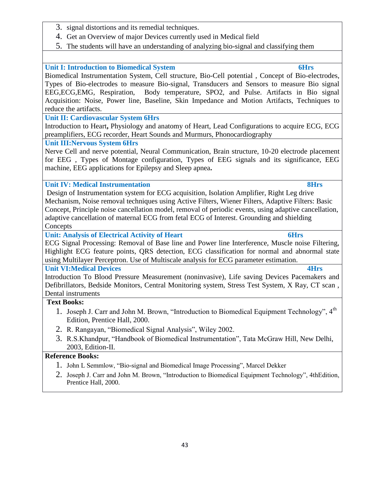Defibrillators, Bedside Monitors, Central Monitoring system, Stress Test System, X Ray, CT scan ,

**Text Books:**

Dental instruments

Concepts

- 1. Joseph J. Carr and John M. Brown, "Introduction to Biomedical Equipment Technology", 4<sup>th</sup> Edition, Prentice Hall, 2000.
- 2. R. Rangayan, "Biomedical Signal Analysis", Wiley 2002.
- 3. R.S.Khandpur, "Handbook of Biomedical Instrumentation", Tata McGraw Hill, New Delhi, 2003, Edition-II.

#### **Reference Books:**

- 1. John L Semmlow, "Bio-signal and Biomedical Image Processing", Marcel Dekker
- 2. Joseph J. Carr and John M. Brown, "Introduction to Biomedical Equipment Technology", 4thEdition, Prentice Hall, 2000.

machine, EEG applications for Epilepsy and Sleep apnea**.** 

**Unit: Analysis of Electrical Activity of Heart 6Hrs** ECG Signal Processing: Removal of Base line and Power line Interference, Muscle noise Filtering, Highlight ECG feature points, QRS detection, ECG classification for normal and abnormal state using Multilayer Perceptron. Use of Multiscale analysis for ECG parameter estimation.

**Unit VI:Medical Devices 4Hrs** Introduction To Blood Pressure Measurement (noninvasive), Life saving Devices Pacemakers and

**Unit IV: Medical Instrumentation 8Hrs** Design of Instrumentation system for ECG acquisition, Isolation Amplifier, Right Leg drive Mechanism, Noise removal techniques using Active Filters, Wiener Filters, Adaptive Filters: Basic Concept, Principle noise cancellation model, removal of periodic events, using adaptive cancellation, adaptive cancellation of maternal ECG from fetal ECG of Interest. Grounding and shielding

# **Unit III:Nervous System 6Hrs**

Types of Bio-electrodes to measure Bio-signal, Transducers and Sensors to measure Bio signal EEG,ECG,EMG, Respiration, Body temperature, SPO2, and Pulse. Artifacts in Bio signal Acquisition: Noise, Power line, Baseline, Skin Impedance and Motion Artifacts, Techniques to

reduce the artifacts. **Unit II: Cardiovascular System 6Hrs**

Introduction to Heart**,** Physiology and anatomy of Heart, Lead Configurations to acquire ECG, ECG preamplifiers, ECG recorder, Heart Sounds and Murmurs, Phonocardiography

Nerve Cell and nerve potential, Neural Communication, Brain structure, 10-20 electrode placement for EEG , Types of Montage configuration, Types of EEG signals and its significance, EEG

# 5. The students will have an understanding of analyzing bio-signal and classifying them

4. Get an Overview of major Devices currently used in Medical field

3. signal distortions and its remedial techniques.

#### **Unit I: Introduction to Biomedical System 6Hrs** Biomedical Instrumentation System, Cell structure, Bio-Cell potential , Concept of Bio-electrodes,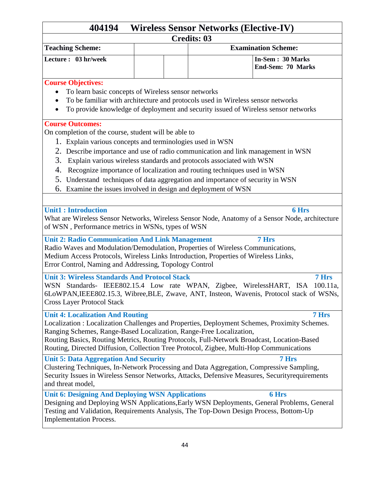# **404194 Wireless Sensor Networks (Elective-IV)**

### **Credits: 03**

| <b>Teaching Scheme:</b> | <b>Examination Scheme:</b>                    |  |
|-------------------------|-----------------------------------------------|--|
| Lecture : 03 hr/week    | In-Sem : 30 Marks<br><b>End-Sem: 70 Marks</b> |  |

#### **Course Objectives:**

- To learn basic concepts of Wireless sensor networks
- To be familiar with architecture and protocols used in Wireless sensor networks
- To provide knowledge of deployment and security issued of Wireless sensor networks

#### **Course Outcomes:**

On completion of the course, student will be able to

- 1. Explain various concepts and terminologies used in WSN
- 2. Describe importance and use of radio communication and link management in WSN
- 3. Explain various wireless standards and protocols associated with WSN
- 4. Recognize importance of localization and routing techniques used in WSN
- 5. Understand techniques of data aggregation and importance of security in WSN
- 6. Examine the issues involved in design and deployment of WSN

#### **Unit1 : Introduction 6 Hrs**

What are Wireless Sensor Networks, Wireless Sensor Node, Anatomy of a Sensor Node, architecture of WSN , Performance metrics in WSNs, types of WSN

#### **Unit 2: Radio Communication And Link Management 7 Hrs**

Radio Waves and Modulation/Demodulation, Properties of Wireless Communications, Medium Access Protocols, Wireless Links Introduction, Properties of Wireless Links, Error Control, Naming and Addressing, Topology Control

#### **Unit 3: Wireless Standards And Protocol Stack 7 Hrs**

WSN Standards- IEEE802.15.4 Low rate WPAN, Zigbee, WirelessHART, ISA 100.11a, 6LoWPAN,IEEE802.15.3, Wibree,BLE, Zwave, ANT, Insteon, Wavenis, Protocol stack of WSNs, Cross Layer Protocol Stack

#### **Unit 4: Localization And Routing 7 Hrs**

Localization : Localization Challenges and Properties, Deployment Schemes, Proximity Schemes. Ranging Schemes, Range-Based Localization, Range-Free Localization, Routing Basics, Routing Metrics, Routing Protocols, Full-Network Broadcast, Location-Based

Routing, Directed Diffusion, Collection Tree Protocol, Zigbee, Multi-Hop Communications

#### **Unit 5: Data Aggregation And Security 7 Hrs**

Clustering Techniques, In-Network Processing and Data Aggregation, Compressive Sampling, Security Issues in Wireless Sensor Networks, Attacks, Defensive Measures, Securityrequirements and threat model,

**Unit 6: Designing And Deploying WSN Applications 6 Hrs** Designing and Deploying WSN Applications,Early WSN Deployments, General Problems, General Testing and Validation, Requirements Analysis, The Top-Down Design Process, Bottom-Up Implementation Process.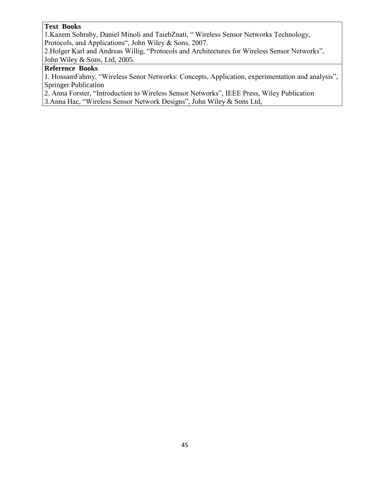#### **Text Books**

1. Kazem Sohraby, Daniel Minoli and TaiebZnati, "Wireless Sensor Networks Technology, Protocols, and Applications", John Wiley & Sons, 2007.

2.Holger Karl and Andreas Willig, "Protocols and Architectures for Wireless Sensor Networks", John Wiley & Sons, Ltd, 2005.

#### **Reference Books**

1. HossamFahmy, "Wireless Senor Networks: Concepts, Application, experimentation and analysis", Springer Publication

2. Anna Forster, "Introduction to Wireless Sensor Networks", IEEE Press, Wiley Publication 3.Anna Hac, "Wireless Sensor Network Designs", John Wiley & Sons Ltd,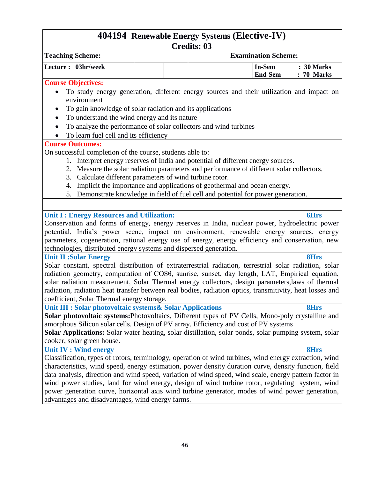# **404194 Renewable Energy Systems (Elective-IV)**

#### **Credits: 03**

|                                                                                                                                                                 |                                                                                         |  | Ureans: US                                                               |                          |                          |
|-----------------------------------------------------------------------------------------------------------------------------------------------------------------|-----------------------------------------------------------------------------------------|--|--------------------------------------------------------------------------|--------------------------|--------------------------|
| <b>Teaching Scheme:</b><br><b>Examination Scheme:</b>                                                                                                           |                                                                                         |  |                                                                          |                          |                          |
| Lecture: 03hr/week                                                                                                                                              |                                                                                         |  |                                                                          | In-Sem<br><b>End-Sem</b> | : 30 Marks<br>: 70 Marks |
| <b>Course Objectives:</b>                                                                                                                                       |                                                                                         |  |                                                                          |                          |                          |
| To study energy generation, different energy sources and their utilization and impact on<br>$\bullet$                                                           |                                                                                         |  |                                                                          |                          |                          |
| environment                                                                                                                                                     |                                                                                         |  |                                                                          |                          |                          |
| To gain knowledge of solar radiation and its applications                                                                                                       |                                                                                         |  |                                                                          |                          |                          |
| To understand the wind energy and its nature                                                                                                                    |                                                                                         |  |                                                                          |                          |                          |
| To analyze the performance of solar collectors and wind turbines                                                                                                |                                                                                         |  |                                                                          |                          |                          |
| To learn fuel cell and its efficiency                                                                                                                           |                                                                                         |  |                                                                          |                          |                          |
| <b>Course Outcomes:</b>                                                                                                                                         |                                                                                         |  |                                                                          |                          |                          |
| On successful completion of the course, students able to:                                                                                                       |                                                                                         |  |                                                                          |                          |                          |
| 1. Interpret energy reserves of India and potential of different energy sources.                                                                                |                                                                                         |  |                                                                          |                          |                          |
| 2. Measure the solar radiation parameters and performance of different solar collectors.                                                                        |                                                                                         |  |                                                                          |                          |                          |
| Calculate different parameters of wind turbine rotor.<br>3.                                                                                                     |                                                                                         |  |                                                                          |                          |                          |
| 4.                                                                                                                                                              |                                                                                         |  | Implicit the importance and applications of geothermal and ocean energy. |                          |                          |
| 5. Demonstrate knowledge in field of fuel cell and potential for power generation.                                                                              |                                                                                         |  |                                                                          |                          |                          |
|                                                                                                                                                                 |                                                                                         |  |                                                                          |                          |                          |
| Unit I : Energy Resources and Utilization:                                                                                                                      |                                                                                         |  |                                                                          |                          | <b>6Hrs</b>              |
| Conservation and forms of energy, energy reserves in India, nuclear power, hydroelectric power                                                                  |                                                                                         |  |                                                                          |                          |                          |
|                                                                                                                                                                 | potential, India's power scene, impact on environment, renewable energy sources, energy |  |                                                                          |                          |                          |
| parameters, cogeneration, rational energy use of energy, energy efficiency and conservation, new                                                                |                                                                                         |  |                                                                          |                          |                          |
| technologies, distributed energy systems and dispersed generation.                                                                                              |                                                                                         |  |                                                                          |                          |                          |
| <b>Unit II :Solar Energy</b><br>8Hrs                                                                                                                            |                                                                                         |  |                                                                          |                          |                          |
| Solar constant, spectral distribution of extraterrestrial radiation, terrestrial solar radiation, solar                                                         |                                                                                         |  |                                                                          |                          |                          |
| radiation geometry, computation of COS0, sunrise, sunset, day length, LAT, Empirical equation,                                                                  |                                                                                         |  |                                                                          |                          |                          |
| solar radiation measurement, Solar Thermal energy collectors, design parameters, laws of thermal                                                                |                                                                                         |  |                                                                          |                          |                          |
| radiation, radiation heat transfer between real bodies, radiation optics, transmitivity, heat losses and<br>coefficient, Solar Thermal energy storage.          |                                                                                         |  |                                                                          |                          |                          |
|                                                                                                                                                                 |                                                                                         |  |                                                                          |                          | 8Hrs                     |
| Unit III : Solar photovoltaic systems & Solar Applications<br>Solar photovoltaic systems: Photovoltaics, Different types of PV Cells, Mono-poly crystalline and |                                                                                         |  |                                                                          |                          |                          |
| amorphous Silicon solar cells. Design of PV array. Efficiency and cost of PV systems                                                                            |                                                                                         |  |                                                                          |                          |                          |
| Solar Applications: Solar water heating, solar distillation, solar ponds, solar pumping system, solar                                                           |                                                                                         |  |                                                                          |                          |                          |
| cooker, solar green house.                                                                                                                                      |                                                                                         |  |                                                                          |                          |                          |
| <b>Unit IV : Wind energy</b>                                                                                                                                    |                                                                                         |  |                                                                          |                          | 8Hrs                     |
| Classification, types of rotors, terminology, operation of wind turbines, wind energy extraction, wind                                                          |                                                                                         |  |                                                                          |                          |                          |
| characteristics, wind speed, energy estimation, power density duration curve, density function, field                                                           |                                                                                         |  |                                                                          |                          |                          |
| data analysis, direction and wind speed, variation of wind speed, wind scale, energy pattern factor in                                                          |                                                                                         |  |                                                                          |                          |                          |
| wind power studies, land for wind energy, design of wind turbine rotor, regulating system, wind                                                                 |                                                                                         |  |                                                                          |                          |                          |
| power generation curve, horizontal axis wind turbine generator, modes of wind power generation,                                                                 |                                                                                         |  |                                                                          |                          |                          |
| advantages and disadvantages, wind energy farms.                                                                                                                |                                                                                         |  |                                                                          |                          |                          |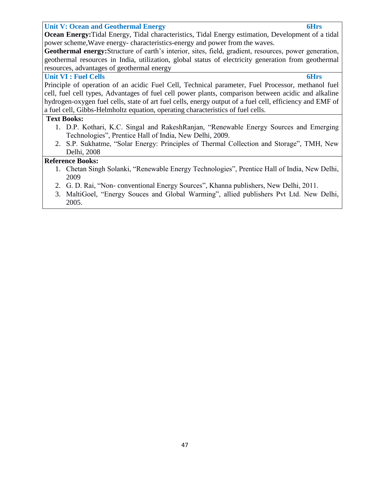#### **Unit V:** Ocean and Geothermal Energy **6Hrs**

**Ocean Energy:**Tidal Energy, Tidal characteristics, Tidal Energy estimation, Development of a tidal power scheme,Wave energy- characteristics-energy and power from the waves.

**Geothermal energy:**Structure of earth's interior, sites, field, gradient, resources, power generation, geothermal resources in India, utilization, global status of electricity generation from geothermal resources, advantages of geothermal energy

#### **Unit VI : Fuel Cells 6Hrs**

Principle of operation of an acidic Fuel Cell, Technical parameter, Fuel Processor, methanol fuel cell, fuel cell types, Advantages of fuel cell power plants, comparison between acidic and alkaline hydrogen-oxygen fuel cells, state of art fuel cells, energy output of a fuel cell, efficiency and EMF of a fuel cell, Gibbs-Helmholtz equation, operating characteristics of fuel cells.

#### **Text Books:**

- 1. D.P. Kothari, K.C. Singal and RakeshRanjan, "Renewable Energy Sources and Emerging Technologies", Prentice Hall of India, New Delhi, 2009.
- 2. S.P. Sukhatme, "Solar Energy: Principles of Thermal Collection and Storage", TMH, New Delhi, 2008

#### **Reference Books:**

- 1. Chetan Singh Solanki, "Renewable Energy Technologies", Prentice Hall of India, New Delhi, 2009
- 2. G. D. Rai, "Non- conventional Energy Sources", Khanna publishers, New Delhi, 2011.
- 3. MaltiGoel, "Energy Souces and Global Warming", allied publishers Pvt Ltd. New Delhi, 2005.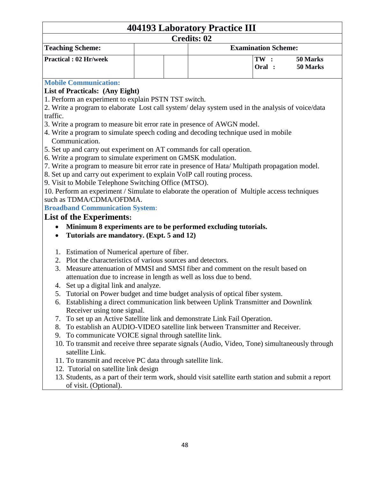| <b>404193 Laboratory Practice III</b> |                                                  |  |  |  |
|---------------------------------------|--------------------------------------------------|--|--|--|
|                                       | <b>Credits: 02</b>                               |  |  |  |
| <b>Teaching Scheme:</b>               | <b>Examination Scheme:</b>                       |  |  |  |
| <b>Practical : 02 Hr/week</b>         | 50 Marks<br>$\mathbf{TW}$ :<br>Oral:<br>50 Marks |  |  |  |
| <b>Mobile Communication:</b>          |                                                  |  |  |  |

#### **List of Practicals: (Any Eight)**

1. Perform an experiment to explain PSTN TST switch.

2. Write a program to elaborate Lost call system/ delay system used in the analysis of voice/data traffic.

- 3. Write a program to measure bit error rate in presence of AWGN model.
- 4. Write a program to simulate speech coding and decoding technique used in mobile Communication.
- 5. Set up and carry out experiment on AT commands for call operation.
- 6. Write a program to simulate experiment on GMSK modulation.
- 7. Write a program to measure bit error rate in presence of Hata/ Multipath propagation model.
- 8. Set up and carry out experiment to explain VoIP call routing process.
- 9. Visit to Mobile Telephone Switching Office (MTSO).

10. Perform an experiment / Simulate to elaborate the operation of Multiple access techniques such as TDMA/CDMA/OFDMA.

#### **Broadband Communication System:**

#### **List of the Experiments:**

- **Minimum 8 experiments are to be performed excluding tutorials.**
- **Tutorials are mandatory. (Expt. 5 and 12)**
- 1. Estimation of Numerical aperture of fiber.
- 2. Plot the characteristics of various sources and detectors.
- 3. Measure attenuation of MMSI and SMSI fiber and comment on the result based on attenuation due to increase in length as well as loss due to bend.
- 4. Set up a digital link and analyze.
- 5. Tutorial on Power budget and time budget analysis of optical fiber system.
- 6. Establishing a direct communication link between Uplink Transmitter and Downlink Receiver using tone signal.
- 7. To set up an Active Satellite link and demonstrate Link Fail Operation.
- 8. To establish an AUDIO-VIDEO satellite link between Transmitter and Receiver.
- 9. To communicate VOICE signal through satellite link.
- 10. To transmit and receive three separate signals (Audio, Video, Tone) simultaneously through satellite Link.
- 11. To transmit and receive PC data through satellite link.
- 12. Tutorial on satellite link design
- 13. Students, as a part of their term work, should visit satellite earth station and submit a report of visit. (Optional).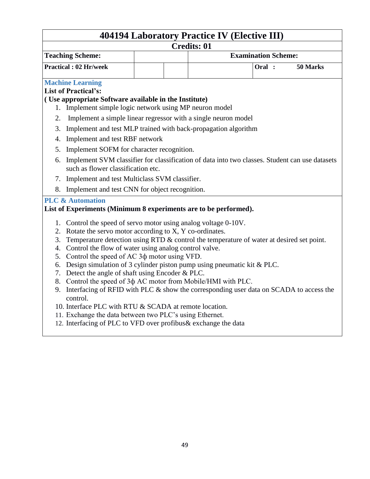# **404194 Laboratory Practice IV (Elective III)**

#### **Credits: 01**

|                                                                                                                                            |                                                                          |  | Credits: 01 |  |  |  |  |
|--------------------------------------------------------------------------------------------------------------------------------------------|--------------------------------------------------------------------------|--|-------------|--|--|--|--|
| <b>Teaching Scheme:</b>                                                                                                                    | <b>Examination Scheme:</b>                                               |  |             |  |  |  |  |
| <b>Practical: 02 Hr/week</b>                                                                                                               | Oral :<br>50 Marks                                                       |  |             |  |  |  |  |
| <b>Machine Learning</b>                                                                                                                    |                                                                          |  |             |  |  |  |  |
| <b>List of Practical's:</b>                                                                                                                |                                                                          |  |             |  |  |  |  |
| (Use appropriate Software available in the Institute)                                                                                      |                                                                          |  |             |  |  |  |  |
| 1. Implement simple logic network using MP neuron model                                                                                    |                                                                          |  |             |  |  |  |  |
| Implement a simple linear regressor with a single neuron model<br>2.                                                                       |                                                                          |  |             |  |  |  |  |
| Implement and test MLP trained with back-propagation algorithm<br>3.                                                                       |                                                                          |  |             |  |  |  |  |
| Implement and test RBF network<br>4.                                                                                                       |                                                                          |  |             |  |  |  |  |
| Implement SOFM for character recognition.<br>5.                                                                                            |                                                                          |  |             |  |  |  |  |
| Implement SVM classifier for classification of data into two classes. Student can use datasets<br>6.<br>such as flower classification etc. |                                                                          |  |             |  |  |  |  |
| 7.                                                                                                                                         | Implement and test Multiclass SVM classifier.                            |  |             |  |  |  |  |
| Implement and test CNN for object recognition.<br>8.                                                                                       |                                                                          |  |             |  |  |  |  |
| <b>PLC &amp; Automation</b><br>List of Experiments (Minimum 8 experiments are to be performed).                                            |                                                                          |  |             |  |  |  |  |
|                                                                                                                                            |                                                                          |  |             |  |  |  |  |
| 1. Control the speed of servo motor using analog voltage 0-10V.                                                                            |                                                                          |  |             |  |  |  |  |
| 2. Rotate the servo motor according to X, Y co-ordinates.                                                                                  |                                                                          |  |             |  |  |  |  |
| Temperature detection using RTD $\&$ control the temperature of water at desired set point.<br>3.                                          |                                                                          |  |             |  |  |  |  |
|                                                                                                                                            | 4. Control the flow of water using analog control valve.                 |  |             |  |  |  |  |
|                                                                                                                                            | 5. Control the speed of AC 3 $\phi$ motor using VFD.                     |  |             |  |  |  |  |
| 6.                                                                                                                                         | Design simulation of 3 cylinder piston pump using pneumatic kit $&PLC$ . |  |             |  |  |  |  |
|                                                                                                                                            | 7. Detect the angle of shaft using Encoder & PLC.                        |  |             |  |  |  |  |
| 8.                                                                                                                                         | Control the speed of 3 $\phi$ AC motor from Mobile/HMI with PLC.         |  |             |  |  |  |  |
| 9. Interfacing of RFID with PLC & show the corresponding user data on SCADA to access the<br>control.                                      |                                                                          |  |             |  |  |  |  |
| 10. Interface PLC with RTU & SCADA at remote location.                                                                                     |                                                                          |  |             |  |  |  |  |
|                                                                                                                                            | 11. Exchange the data between two PLC's using Ethernet.                  |  |             |  |  |  |  |
|                                                                                                                                            |                                                                          |  |             |  |  |  |  |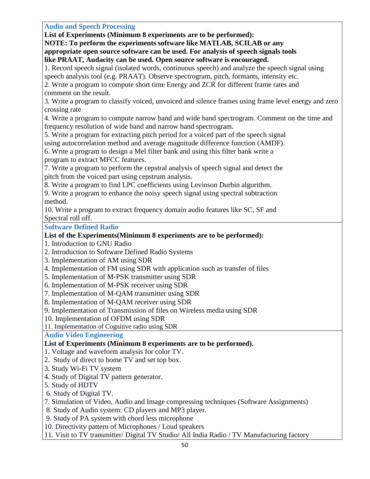**Audio and Speech Processing**

**List of Experiments (Minimum 8 experiments are to be performed):**

**NOTE: To perform the experiments software like MATLAB, SCILAB or any**

**appropriate open source software can be used. For analysis of speech signals tools like PRAAT, Audacity can be used. Open source software is encouraged.**

1. Record speech signal (isolated words, continuous speech) and analyze the speech signal using speech analysis tool (e.g. PRAAT). Observe spectrogram, pitch, formants, intensity etc.

2. Write a program to compute short time Energy and ZCR for different frame rates and comment on the result.

3. Write a program to classify voiced, unvoiced and silence frames using frame level energy and zero crossing rate

4. Write a program to compute narrow band and wide band spectrogram. Comment on the time and frequency resolution of wide band and narrow band spectrogram.

5. Write a program for extracting pitch period for a voiced part of the speech signal

using autocorrelation method and average magnitude difference function (AMDF).

6. Write a program to design a Mel filter bank and using this filter bank write a program to extract MFCC features.

7. Write a program to perform the cepstral analysis of speech signal and detect the pitch from the voiced part using cepstrum analysis.

8. Write a program to find LPC coefficients using Levinson Durbin algorithm.

9. Write a program to enhance the noisy speech signal using spectral subtraction method.

10. Write a program to extract frequency domain audio features like SC, SF and Spectral roll off.

**Software Defined Radio**

### **List of the Experiments(Minimum 8 experiments are to be performed):**

1. Introduction to GNU Radio

2. Introduction to Software Defined Radio Systems

3. Implementation of AM using SDR

4. Implementation of FM using SDR with application such as transfer of files

- 5. Implementation of M-PSK transmitter using SDR
- 6. Implementation of M-PSK receiver using SDR
- 7. Implementation of M-QAM transmitter using SDR
- 8. Implementation of M-QAM receiver using SDR

9. Implementation of Transmission of files on Wireless media using SDR

10. Implementation of OFDM using SDR

11. Implementation of Cognitive radio using SDR

**Audio Video Engineering**

**List of Experiments (Minimum 8 experiments are to be performed).** 

1. Voltage and waveform analysis for color TV.

2. Study of direct to home TV and set top box.

3. Study Wi-Fi TV system

4. Study of Digital TV pattern generator.

5. Study of HDTV

6. Study of Digital TV.

7. Simulation of Video, Audio and Image compressing techniques (Software Assignments)

8. Study of Audio system: CD players and MP3 player.

9. Study of PA system with chord less microphone

10. Directivity pattern of Microphones / Loud speakers

11. Visit to TV transmitter/ Digital TV Studio/ All India Radio / TV Manufacturing factory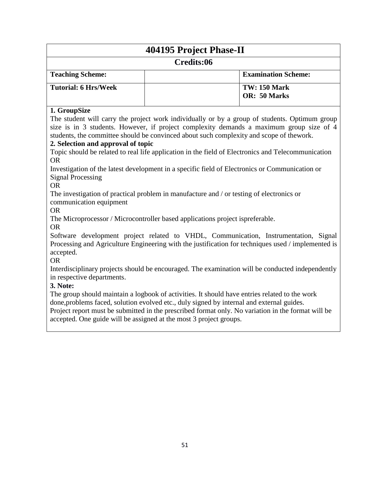| 404195 Project Phase-II     |  |                                            |  |  |
|-----------------------------|--|--------------------------------------------|--|--|
| Credits:06                  |  |                                            |  |  |
| <b>Teaching Scheme:</b>     |  | <b>Examination Scheme:</b>                 |  |  |
| <b>Tutorial: 6 Hrs/Week</b> |  | <b>TW: 150 Mark</b><br><b>OR:</b> 50 Marks |  |  |

#### **1. GroupSize**

The student will carry the project work individually or by a group of students. Optimum group size is in 3 students. However, if project complexity demands a maximum group size of 4 students, the committee should be convinced about such complexity and scope of thework.

#### **2. Selection and approval of topic**

Topic should be related to real life application in the field of Electronics and Telecommunication OR

Investigation of the latest development in a specific field of Electronics or Communication or Signal Processing

OR

The investigation of practical problem in manufacture and / or testing of electronics or communication equipment

OR

The Microprocessor / Microcontroller based applications project ispreferable.

OR

Software development project related to VHDL, Communication, Instrumentation, Signal Processing and Agriculture Engineering with the justification for techniques used / implemented is accepted.

OR

Interdisciplinary projects should be encouraged. The examination will be conducted independently in respective departments.

**3. Note:**

The group should maintain a logbook of activities. It should have entries related to the work done,problems faced, solution evolved etc., duly signed by internal and external guides.

Project report must be submitted in the prescribed format only. No variation in the format will be accepted. One guide will be assigned at the most 3 project groups.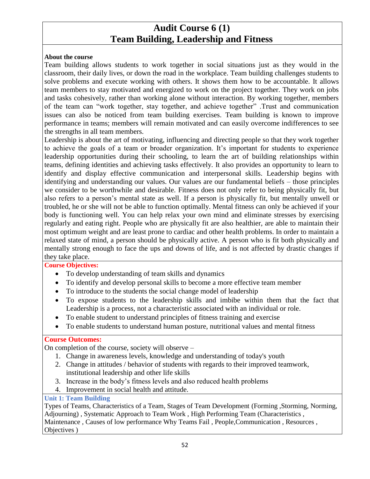# **Audit Course 6 (1) Team Building, Leadership and Fitness**

#### **About the course**

Team building allows students to work together in social situations just as they would in the classroom, their daily lives, or down the road in the workplace. Team building challenges students to solve problems and execute working with others. It shows them how to be accountable. It allows team members to stay motivated and energized to work on the project together. They work on jobs and tasks cohesively, rather than working alone without interaction. By working together, members of the team can "work together, stay together, and achieve together". Trust and communication issues can also be noticed from team building exercises. Team building is known to improve performance in teams; members will remain motivated and can easily overcome indifferences to see the strengths in all team members.

Leadership is about the art of motivating, influencing and directing people so that they work together to achieve the goals of a team or broader organization. It's important for students to experience leadership opportunities during their schooling, to learn the art of building relationships within teams, defining identities and achieving tasks effectively. It also provides an opportunity to learn to identify and display effective communication and interpersonal skills. Leadership begins with identifying and understanding our values. Our values are our fundamental beliefs – those principles we consider to be worthwhile and desirable. Fitness does not only refer to being physically fit, but also refers to a person's mental state as well. If a person is physically fit, but mentally unwell or troubled, he or she will not be able to function optimally. Mental fitness can only be achieved if your body is functioning well. You can help relax your own mind and eliminate stresses by exercising regularly and eating right. People who are physically fit are also healthier, are able to maintain their most optimum weight and are least prone to cardiac and other health problems. In order to maintain a relaxed state of mind, a person should be physically active. A person who is fit both physically and mentally strong enough to face the ups and downs of life, and is not affected by drastic changes if they take place.

#### **Course Objectives:**

- To develop understanding of team skills and dynamics
- To identify and develop personal skills to become a more effective team member
- To introduce to the students the social change model of leadership
- To expose students to the leadership skills and imbibe within them that the fact that Leadership is a process, not a characteristic associated with an individual or role.
- To enable student to understand principles of fitness training and exercise
- To enable students to understand human posture, nutritional values and mental fitness

#### **Course Outcomes:**

On completion of the course, society will observe –

- 1. Change in awareness levels, knowledge and understanding of today's youth
- 2. Change in attitudes / behavior of students with regards to their improved teamwork, institutional leadership and other life skills
- 3. Increase in the body's fitness levels and also reduced health problems
- 4. Improvement in social health and attitude.

#### **Unit 1: Team Building**

Types of Teams, Characteristics of a Team, Stages of Team Development (Forming ,Storming, Norming, Adjourning) , Systematic Approach to Team Work , High Performing Team (Characteristics , Maintenance , Causes of low performance Why Teams Fail , People,Communication , Resources , Objectives )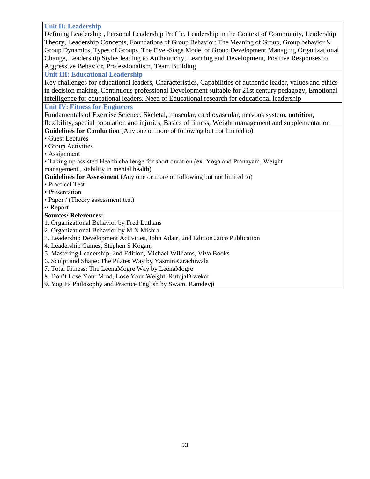**Unit II: Leadership** 

Defining Leadership , Personal Leadership Profile, Leadership in the Context of Community, Leadership Theory, Leadership Concepts, Foundations of Group Behavior: The Meaning of Group, Group behavior & Group Dynamics, Types of Groups, The Five -Stage Model of Group Development Managing Organizational Change, Leadership Styles leading to Authenticity, Learning and Development, Positive Responses to Aggressive Behavior, Professionalism, Team Building

#### **Unit III: Educational Leadership**

Key challenges for educational leaders, Characteristics, Capabilities of authentic leader, values and ethics in decision making, Continuous professional Development suitable for 21st century pedagogy, Emotional intelligence for educational leaders. Need of Educational research for educational leadership

#### **Unit IV: Fitness for Engineers**

Fundamentals of Exercise Science: Skeletal, muscular, cardiovascular, nervous system, nutrition, flexibility, special population and injuries, Basics of fitness, Weight management and supplementation

#### **Guidelines for Conduction** (Any one or more of following but not limited to)

• Guest Lectures

- Group Activities
- Assignment
- Taking up assisted Health challenge for short duration (ex. Yoga and Pranayam, Weight management , stability in mental health)

#### **Guidelines for Assessment** (Any one or more of following but not limited to)

- Practical Test
- Presentation
- Paper / (Theory assessment test)
- •• Report

#### **Sources/ References:**

- 1. Organizational Behavior by Fred Luthans
- 2. Organizational Behavior by M N Mishra
- 3. Leadership Development Activities, John Adair, 2nd Edition Jaico Publication
- 4. Leadership Games, Stephen S Kogan,
- 5. Mastering Leadership, 2nd Edition, Michael Williams, Viva Books
- 6. Sculpt and Shape: The Pilates Way by YasminKarachiwala
- 7. Total Fitness: The LeenaMogre Way by LeenaMogre
- 8. Don't Lose Your Mind, Lose Your Weight: RutujaDiwekar
- 9. Yog Its Philosophy and Practice English by Swami Ramdevji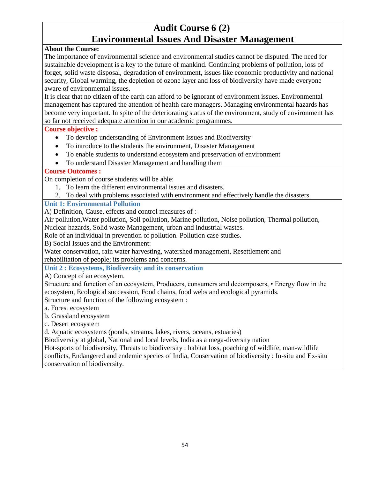# **Audit Course 6 (2) Environmental Issues And Disaster Management**

#### **About the Course:**

The importance of environmental science and environmental studies cannot be disputed. The need for sustainable development is a key to the future of mankind. Continuing problems of pollution, loss of forget, solid waste disposal, degradation of environment, issues like economic productivity and national security, Global warming, the depletion of ozone layer and loss of biodiversity have made everyone aware of environmental issues.

It is clear that no citizen of the earth can afford to be ignorant of environment issues. Environmental management has captured the attention of health care managers. Managing environmental hazards has become very important. In spite of the deteriorating status of the environment, study of environment has so far not received adequate attention in our academic programmes.

#### **Course objective :**

- To develop understanding of Environment Issues and Biodiversity
- To introduce to the students the environment, Disaster Management
- To enable students to understand ecosystem and preservation of environment
- To understand Disaster Management and handling them

#### **Course Outcomes :**

On completion of course students will be able:

- 1. To learn the different environmental issues and disasters.
- 2. To deal with problems associated with environment and effectively handle the disasters.

**Unit 1: Environmental Pollution** 

A) Definition, Cause, effects and control measures of :-

Air pollution,Water pollution, Soil pollution, Marine pollution, Noise pollution, Thermal pollution,

Nuclear hazards, Solid waste Management, urban and industrial wastes.

Role of an individual in prevention of pollution. Pollution case studies.

B) Social Issues and the Environment:

Water conservation, rain water harvesting, watershed management, Resettlement and rehabilitation of people; its problems and concerns.

**Unit 2 : Ecosystems, Biodiversity and its conservation** 

A) Concept of an ecosystem.

Structure and function of an ecosystem, Producers, consumers and decomposers, • Energy flow in the ecosystem, Ecological succession, Food chains, food webs and ecological pyramids.

Structure and function of the following ecosystem :

- a. Forest ecosystem
- b. Grassland ecosystem
- c. Desert ecosystem

d. Aquatic ecosystems (ponds, streams, lakes, rivers, oceans, estuaries)

Biodiversity at global, National and local levels, India as a mega-diversity nation

Hot-sports of biodiversity, Threats to biodiversity : habitat loss, poaching of wildlife, man-wildlife conflicts, Endangered and endemic species of India, Conservation of biodiversity : In-situ and Ex-situ conservation of biodiversity.